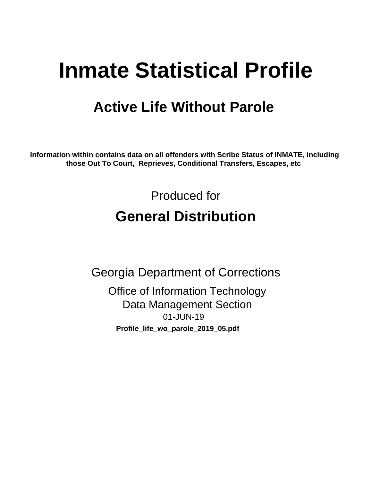# **Inmate Statistical Profile**

# **Active Life Without Parole**

Information within contains data on all offenders with Scribe Status of INMATE, including those Out To Court, Reprieves, Conditional Transfers, Escapes, etc

> Produced for **General Distribution**

**Georgia Department of Corrections Office of Information Technology Data Management Section** 01-JUN-19 Profile\_life\_wo\_parole\_2019\_05.pdf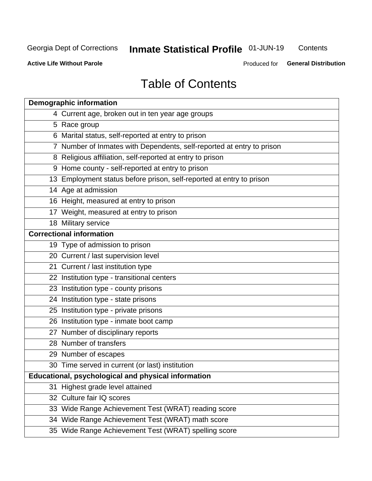# **Inmate Statistical Profile 01-JUN-19**

Contents

**Active Life Without Parole** 

Produced for General Distribution

# **Table of Contents**

| <b>Demographic information</b>                                        |
|-----------------------------------------------------------------------|
| 4 Current age, broken out in ten year age groups                      |
| 5 Race group                                                          |
| 6 Marital status, self-reported at entry to prison                    |
| 7 Number of Inmates with Dependents, self-reported at entry to prison |
| 8 Religious affiliation, self-reported at entry to prison             |
| 9 Home county - self-reported at entry to prison                      |
| 13 Employment status before prison, self-reported at entry to prison  |
| 14 Age at admission                                                   |
| 16 Height, measured at entry to prison                                |
| 17 Weight, measured at entry to prison                                |
| 18 Military service                                                   |
| <b>Correctional information</b>                                       |
| 19 Type of admission to prison                                        |
| 20 Current / last supervision level                                   |
| 21 Current / last institution type                                    |
| 22 Institution type - transitional centers                            |
| 23 Institution type - county prisons                                  |
| 24 Institution type - state prisons                                   |
| 25 Institution type - private prisons                                 |
| 26 Institution type - inmate boot camp                                |
| 27 Number of disciplinary reports                                     |
| 28 Number of transfers                                                |
| 29 Number of escapes                                                  |
| 30 Time served in current (or last) institution                       |
| Educational, psychological and physical information                   |
| 31 Highest grade level attained                                       |
| 32 Culture fair IQ scores                                             |
| 33 Wide Range Achievement Test (WRAT) reading score                   |
| 34 Wide Range Achievement Test (WRAT) math score                      |
| 35 Wide Range Achievement Test (WRAT) spelling score                  |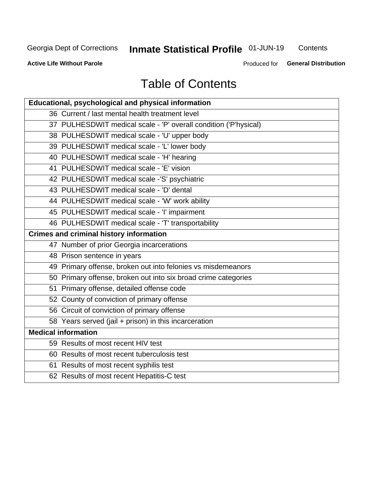# **Inmate Statistical Profile 01-JUN-19**

Contents

**Active Life Without Parole** 

Produced for General Distribution

# **Table of Contents**

| Educational, psychological and physical information              |
|------------------------------------------------------------------|
| 36 Current / last mental health treatment level                  |
| 37 PULHESDWIT medical scale - 'P' overall condition ('P'hysical) |
| 38 PULHESDWIT medical scale - 'U' upper body                     |
| 39 PULHESDWIT medical scale - 'L' lower body                     |
| 40 PULHESDWIT medical scale - 'H' hearing                        |
| 41 PULHESDWIT medical scale - 'E' vision                         |
| 42 PULHESDWIT medical scale -'S' psychiatric                     |
| 43 PULHESDWIT medical scale - 'D' dental                         |
| 44 PULHESDWIT medical scale - 'W' work ability                   |
| 45 PULHESDWIT medical scale - 'I' impairment                     |
| 46 PULHESDWIT medical scale - 'T' transportability               |
| <b>Crimes and criminal history information</b>                   |
| 47 Number of prior Georgia incarcerations                        |
| 48 Prison sentence in years                                      |
| 49 Primary offense, broken out into felonies vs misdemeanors     |
| 50 Primary offense, broken out into six broad crime categories   |
| 51 Primary offense, detailed offense code                        |
| 52 County of conviction of primary offense                       |
| 56 Circuit of conviction of primary offense                      |
| 58 Years served (jail + prison) in this incarceration            |
| <b>Medical information</b>                                       |
| 59 Results of most recent HIV test                               |
| 60 Results of most recent tuberculosis test                      |
| 61 Results of most recent syphilis test                          |
| 62 Results of most recent Hepatitis-C test                       |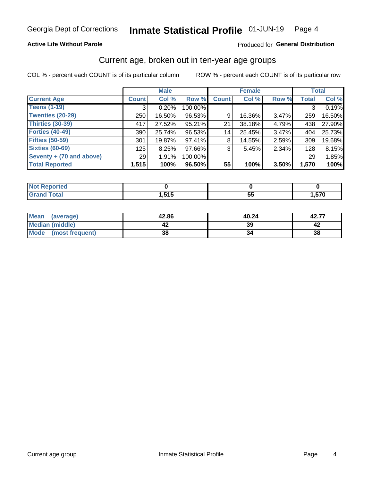### **Active Life Without Parole**

### Produced for General Distribution

### Current age, broken out in ten-year age groups

COL % - percent each COUNT is of its particular column

|                          | <b>Male</b>  |        |         | <b>Female</b> |        |       |              | <b>Total</b> |
|--------------------------|--------------|--------|---------|---------------|--------|-------|--------------|--------------|
| <b>Current Age</b>       | <b>Count</b> | Col %  | Row %   | <b>Count</b>  | Col %  | Row % | <b>Total</b> | Col %        |
| <b>Teens (1-19)</b>      | 3            | 0.20%  | 100.00% |               |        |       | 3            | 0.19%        |
| <b>Twenties (20-29)</b>  | 250          | 16.50% | 96.53%  | 9             | 16.36% | 3.47% | 259          | 16.50%       |
| Thirties (30-39)         | 417          | 27.52% | 95.21%  | 21            | 38.18% | 4.79% | 438          | 27.90%       |
| <b>Forties (40-49)</b>   | 390          | 25.74% | 96.53%  | 14            | 25.45% | 3.47% | 404          | 25.73%       |
| <b>Fifties (50-59)</b>   | 301          | 19.87% | 97.41%  | 8             | 14.55% | 2.59% | 309          | 19.68%       |
| <b>Sixties (60-69)</b>   | 125          | 8.25%  | 97.66%  | 3             | 5.45%  | 2.34% | 128          | 8.15%        |
| Seventy + (70 and above) | 29           | 1.91%  | 100.00% |               |        |       | 29           | 1.85%        |
| <b>Total Reported</b>    | 1,515        | 100%   | 96.50%  | 55            | 100%   | 3.50% | 1,570        | 100%         |

| <b>Not Reported</b> |                 |                 |      |
|---------------------|-----------------|-----------------|------|
| <b>Total</b>        | - 64 E<br>. טוי | --<br><u>JJ</u> | ,570 |

| <b>Mean</b><br>(average) | 42.86 | 40.24 | 42.77 |
|--------------------------|-------|-------|-------|
| Median (middle)          |       | 39    |       |
| Mode<br>(most frequent)  | 38    |       | 38    |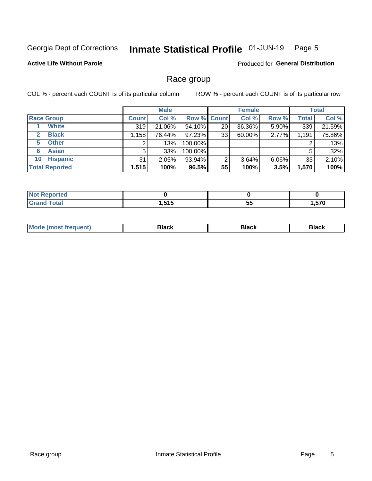#### Inmate Statistical Profile 01-JUN-19 Page 5

### **Active Life Without Parole**

Produced for General Distribution

### Race group

COL % - percent each COUNT is of its particular column

|                              | <b>Male</b>  |         |                    | <b>Female</b> |        |          | <b>Total</b> |        |
|------------------------------|--------------|---------|--------------------|---------------|--------|----------|--------------|--------|
| <b>Race Group</b>            | <b>Count</b> | Col %   | <b>Row % Count</b> |               | Col %  | Row %    | <b>Total</b> | Col %  |
| <b>White</b>                 | 319          | 21.06%  | 94.10%             | 20            | 36.36% | 5.90%    | 339          | 21.59% |
| <b>Black</b><br>$\mathbf{2}$ | 1,158        | 76.44%  | $97.23\%$          | 33            | 60.00% | 2.77%    | 1,191        | 75.86% |
| <b>Other</b><br>5.           |              | $.13\%$ | 100.00%            |               |        |          | 2            | .13%   |
| <b>Asian</b><br>6            | 5            | $.33\%$ | 100.00%            |               |        |          | 5            | .32%   |
| <b>Hispanic</b><br>10        | 31           | 2.05%   | 93.94%             | 2             | 3.64%  | $6.06\%$ | 33           | 2.10%  |
| <b>Total Reported</b>        | 1,515        | 100%    | 96.5%              | 55            | 100%   | 3.5%     | 1,570        | 100%   |

| بمستحدثه<br>тес       |            |         |                   |
|-----------------------|------------|---------|-------------------|
| <b>fotal</b><br>_____ | <b>545</b> | --<br>ು | $E \rightarrow 0$ |

| –•••• |  | M |  |  |  |
|-------|--|---|--|--|--|
|-------|--|---|--|--|--|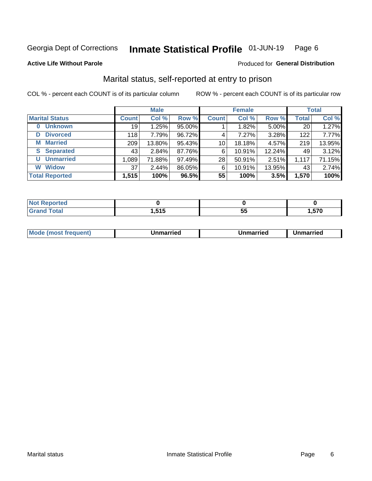#### Inmate Statistical Profile 01-JUN-19 Page 6

#### **Active Life Without Parole**

#### Produced for General Distribution

# Marital status, self-reported at entry to prison

COL % - percent each COUNT is of its particular column

|                            | <b>Male</b>  |        |        | <b>Female</b>   |        |        | <b>Total</b> |        |
|----------------------------|--------------|--------|--------|-----------------|--------|--------|--------------|--------|
| <b>Marital Status</b>      | <b>Count</b> | Col %  | Row %  | <b>Count</b>    | Col %  | Row %  | <b>Total</b> | Col %  |
| <b>Unknown</b><br>$\bf{0}$ | 19           | 1.25%  | 95.00% |                 | 1.82%  | 5.00%  | 20           | 1.27%  |
| <b>Divorced</b><br>D       | 118          | 7.79%  | 96.72% | 4               | 7.27%  | 3.28%  | 122          | 7.77%  |
| <b>Married</b><br>М        | 209          | 13.80% | 95.43% | 10 <sup>1</sup> | 18.18% | 4.57%  | 219          | 13.95% |
| <b>S</b> Separated         | 43           | 2.84%  | 87.76% | 6               | 10.91% | 12.24% | 49           | 3.12%  |
| <b>Unmarried</b><br>U      | 1,089        | 71.88% | 97.49% | 28              | 50.91% | 2.51%  | 1,117        | 71.15% |
| <b>Widow</b><br>W          | 37           | 2.44%  | 86.05% | 6               | 10.91% | 13.95% | 43           | 2.74%  |
| <b>Total Reported</b>      | 1,515        | 100%   | 96.5%  | 55              | 100%   | 3.5%   | 1,570        | 100%   |

| тео. |                 |     |                             |
|------|-----------------|-----|-----------------------------|
|      | <b>EAE</b><br>. | ູບພ | 570<br>$\ddot{\phantom{1}}$ |

|  | M | . | Unmarried | າmarried<br>_____ |
|--|---|---|-----------|-------------------|
|--|---|---|-----------|-------------------|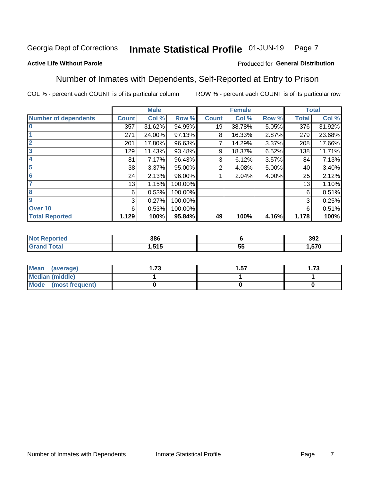#### Inmate Statistical Profile 01-JUN-19 Page 7

### **Active Life Without Parole**

### Produced for General Distribution

### Number of Inmates with Dependents, Self-Reported at Entry to Prison

COL % - percent each COUNT is of its particular column

|                             |                 | <b>Male</b> |         |              | <b>Female</b> |       |              | <b>Total</b> |
|-----------------------------|-----------------|-------------|---------|--------------|---------------|-------|--------------|--------------|
| <b>Number of dependents</b> | <b>Count</b>    | Col %       | Row %   | <b>Count</b> | Col %         | Row % | <b>Total</b> | Col %        |
| $\bf{0}$                    | 357             | 31.62%      | 94.95%  | 19           | 38.78%        | 5.05% | 376          | 31.92%       |
|                             | 271             | 24.00%      | 97.13%  | 8            | 16.33%        | 2.87% | 279          | 23.68%       |
| $\overline{2}$              | 201             | 17.80%      | 96.63%  |              | 14.29%        | 3.37% | 208          | 17.66%       |
| 3                           | 129             | 11.43%      | 93.48%  | 9            | 18.37%        | 6.52% | 138          | 11.71%       |
| 4                           | 81              | 7.17%       | 96.43%  | 3            | 6.12%         | 3.57% | 84           | 7.13%        |
| 5                           | 38 <sup>1</sup> | 3.37%       | 95.00%  | 2            | 4.08%         | 5.00% | 40           | 3.40%        |
| $6\phantom{1}6$             | 24              | 2.13%       | 96.00%  |              | 2.04%         | 4.00% | 25           | 2.12%        |
| 7                           | 13              | 1.15%       | 100.00% |              |               |       | 13           | 1.10%        |
| 8                           | 6               | 0.53%       | 100.00% |              |               |       | 6            | 0.51%        |
| $\boldsymbol{9}$            | 3               | 0.27%       | 100.00% |              |               |       | 3            | 0.25%        |
| Over 10                     | 6               | 0.53%       | 100.00% |              |               |       | 6            | 0.51%        |
| <b>Total Reported</b>       | 1,129           | 100%        | 95.84%  | 49           | 100%          | 4.16% | 1,178        | 100%         |

| 386           |                    | 392  |
|---------------|--------------------|------|
| 515<br>ี<br>. | --<br>$\sim$<br>J. | .570 |

| <b>Mean</b><br>(average) | 72<br>I . I J | . 57 | l.73 |
|--------------------------|---------------|------|------|
| <b>Median (middle)</b>   |               |      |      |
| Mode (most frequent)     |               |      |      |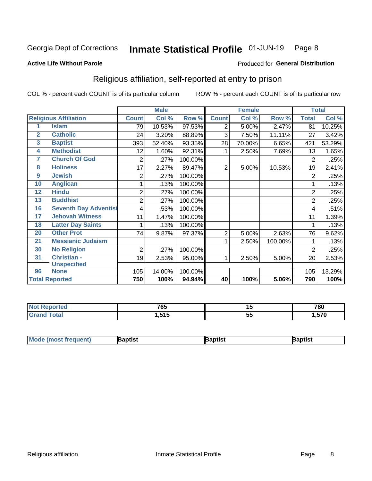#### Inmate Statistical Profile 01-JUN-19 Page 8

#### **Active Life Without Parole**

#### Produced for General Distribution

# Religious affiliation, self-reported at entry to prison

COL % - percent each COUNT is of its particular column

|    |                              |                | <b>Male</b> |         |                | <b>Female</b> |         | <b>Total</b>   |        |
|----|------------------------------|----------------|-------------|---------|----------------|---------------|---------|----------------|--------|
|    | <b>Religious Affiliation</b> | <b>Count</b>   | Col %       | Row %   | <b>Count</b>   | Col %         | Row %   | <b>Total</b>   | Col %  |
| 1  | <b>Islam</b>                 | 79             | 10.53%      | 97.53%  | 2              | 5.00%         | 2.47%   | 81             | 10.25% |
| 2  | <b>Catholic</b>              | 24             | 3.20%       | 88.89%  | 3              | 7.50%         | 11.11%  | 27             | 3.42%  |
| 3  | <b>Baptist</b>               | 393            | 52.40%      | 93.35%  | 28             | 70.00%        | 6.65%   | 421            | 53.29% |
| 4  | <b>Methodist</b>             | 12             | 1.60%       | 92.31%  |                | 2.50%         | 7.69%   | 13             | 1.65%  |
| 7  | <b>Church Of God</b>         | $\overline{2}$ | .27%        | 100.00% |                |               |         | 2              | .25%   |
| 8  | <b>Holiness</b>              | 17             | 2.27%       | 89.47%  | $\overline{2}$ | 5.00%         | 10.53%  | 19             | 2.41%  |
| 9  | <b>Jewish</b>                | 2              | .27%        | 100.00% |                |               |         | 2              | .25%   |
| 10 | <b>Anglican</b>              |                | .13%        | 100.00% |                |               |         |                | .13%   |
| 12 | <b>Hindu</b>                 | $\overline{2}$ | .27%        | 100.00% |                |               |         | $\overline{c}$ | .25%   |
| 13 | <b>Buddhist</b>              | 2              | .27%        | 100.00% |                |               |         | 2              | .25%   |
| 16 | <b>Seventh Day Adventist</b> | 4              | .53%        | 100.00% |                |               |         | 4              | .51%   |
| 17 | <b>Jehovah Witness</b>       | 11             | 1.47%       | 100.00% |                |               |         | 11             | 1.39%  |
| 18 | <b>Latter Day Saints</b>     | 1              | .13%        | 100.00% |                |               |         |                | .13%   |
| 20 | <b>Other Prot</b>            | 74             | 9.87%       | 97.37%  | 2              | 5.00%         | 2.63%   | 76             | 9.62%  |
| 21 | <b>Messianic Judaism</b>     |                |             |         | 1              | 2.50%         | 100.00% |                | .13%   |
| 30 | <b>No Religion</b>           | $\overline{2}$ | .27%        | 100.00% |                |               |         | 2              | .25%   |
| 31 | <b>Christian -</b>           | 19             | 2.53%       | 95.00%  | 1              | 2.50%         | 5.00%   | 20             | 2.53%  |
|    | <b>Unspecified</b>           |                |             |         |                |               |         |                |        |
| 96 | <b>None</b>                  | 105            | 14.00%      | 100.00% |                |               |         | 105            | 13.29% |
|    | <b>Total Reported</b>        | 750            | 100%        | 94.94%  | 40             | 100%          | 5.06%   | 790            | 100%   |

| 7C E<br>ט ו         |          | 780     |
|---------------------|----------|---------|
| <b>EAE</b><br>. טופ | --<br>v. | $- - -$ |

| Mode (most frequent) | aptist | <b>Baptist</b> | 3aptist |
|----------------------|--------|----------------|---------|
|                      |        |                |         |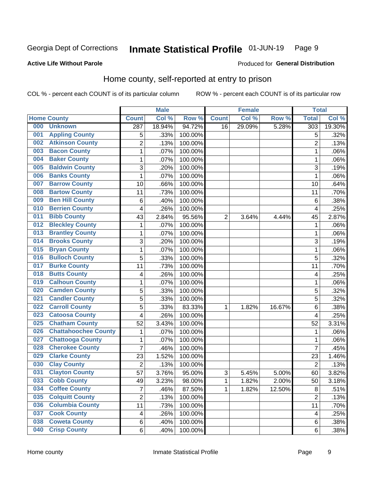#### Inmate Statistical Profile 01-JUN-19 Page 9

### **Active Life Without Parole**

#### Produced for General Distribution

# Home county, self-reported at entry to prison

COL % - percent each COUNT is of its particular column

|     |                             |                  | <b>Male</b> |         |              | <b>Female</b> |        | <b>Total</b>     |        |
|-----|-----------------------------|------------------|-------------|---------|--------------|---------------|--------|------------------|--------|
|     | <b>Home County</b>          | <b>Count</b>     | Col %       | Row %   | <b>Count</b> | Col %         | Row %  | <b>Total</b>     | Col%   |
| 000 | <b>Unknown</b>              | $\overline{287}$ | 18.94%      | 94.72%  | 16           | 29.09%        | 5.28%  | $\overline{303}$ | 19.30% |
| 001 | <b>Appling County</b>       | 5                | .33%        | 100.00% |              |               |        | 5                | .32%   |
| 002 | <b>Atkinson County</b>      | $\overline{2}$   | .13%        | 100.00% |              |               |        | $\overline{2}$   | .13%   |
| 003 | <b>Bacon County</b>         | 1                | .07%        | 100.00% |              |               |        | 1                | .06%   |
| 004 | <b>Baker County</b>         | $\mathbf 1$      | .07%        | 100.00% |              |               |        | 1                | .06%   |
| 005 | <b>Baldwin County</b>       | 3                | .20%        | 100.00% |              |               |        | 3                | .19%   |
| 006 | <b>Banks County</b>         | $\mathbf{1}$     | .07%        | 100.00% |              |               |        | 1                | .06%   |
| 007 | <b>Barrow County</b>        | 10               | .66%        | 100.00% |              |               |        | 10               | .64%   |
| 008 | <b>Bartow County</b>        | 11               | .73%        | 100.00% |              |               |        | 11               | .70%   |
| 009 | <b>Ben Hill County</b>      | 6                | .40%        | 100.00% |              |               |        | 6                | .38%   |
| 010 | <b>Berrien County</b>       | 4                | .26%        | 100.00% |              |               |        | 4                | .25%   |
| 011 | <b>Bibb County</b>          | 43               | 2.84%       | 95.56%  | 2            | 3.64%         | 4.44%  | 45               | 2.87%  |
| 012 | <b>Bleckley County</b>      | 1                | .07%        | 100.00% |              |               |        | 1                | .06%   |
| 013 | <b>Brantley County</b>      | $\mathbf 1$      | .07%        | 100.00% |              |               |        | 1                | .06%   |
| 014 | <b>Brooks County</b>        | 3                | .20%        | 100.00% |              |               |        | 3                | .19%   |
| 015 | <b>Bryan County</b>         | 1                | .07%        | 100.00% |              |               |        | 1                | .06%   |
| 016 | <b>Bulloch County</b>       | 5                | .33%        | 100.00% |              |               |        | 5                | .32%   |
| 017 | <b>Burke County</b>         | 11               | .73%        | 100.00% |              |               |        | 11               | .70%   |
| 018 | <b>Butts County</b>         | 4                | .26%        | 100.00% |              |               |        | 4                | .25%   |
| 019 | <b>Calhoun County</b>       | 1                | .07%        | 100.00% |              |               |        | 1                | .06%   |
| 020 | <b>Camden County</b>        | 5                | .33%        | 100.00% |              |               |        | 5                | .32%   |
| 021 | <b>Candler County</b>       | 5                | .33%        | 100.00% |              |               |        | 5                | .32%   |
| 022 | <b>Carroll County</b>       | 5                | .33%        | 83.33%  | 1            | 1.82%         | 16.67% | 6                | .38%   |
| 023 | <b>Catoosa County</b>       | 4                | .26%        | 100.00% |              |               |        | 4                | .25%   |
| 025 | <b>Chatham County</b>       | 52               | 3.43%       | 100.00% |              |               |        | 52               | 3.31%  |
| 026 | <b>Chattahoochee County</b> | 1                | .07%        | 100.00% |              |               |        | 1                | .06%   |
| 027 | <b>Chattooga County</b>     | $\mathbf 1$      | .07%        | 100.00% |              |               |        | 1                | .06%   |
| 028 | <b>Cherokee County</b>      | 7                | .46%        | 100.00% |              |               |        | 7                | .45%   |
| 029 | <b>Clarke County</b>        | 23               | 1.52%       | 100.00% |              |               |        | 23               | 1.46%  |
| 030 | <b>Clay County</b>          | $\overline{2}$   | .13%        | 100.00% |              |               |        | $\overline{2}$   | .13%   |
| 031 | <b>Clayton County</b>       | 57               | 3.76%       | 95.00%  | 3            | 5.45%         | 5.00%  | 60               | 3.82%  |
| 033 | <b>Cobb County</b>          | 49               | 3.23%       | 98.00%  | 1            | 1.82%         | 2.00%  | 50               | 3.18%  |
| 034 | <b>Coffee County</b>        | $\overline{7}$   | .46%        | 87.50%  | 1            | 1.82%         | 12.50% | 8                | .51%   |
| 035 | <b>Colquitt County</b>      | $\overline{2}$   | .13%        | 100.00% |              |               |        | $\overline{2}$   | .13%   |
| 036 | <b>Columbia County</b>      | 11               | .73%        | 100.00% |              |               |        | 11               | .70%   |
| 037 | <b>Cook County</b>          | 4                | .26%        | 100.00% |              |               |        | 4                | .25%   |
| 038 | <b>Coweta County</b>        | 6                | .40%        | 100.00% |              |               |        | 6                | .38%   |
| 040 | <b>Crisp County</b>         | 6                | .40%        | 100.00% |              |               |        | 6                | .38%   |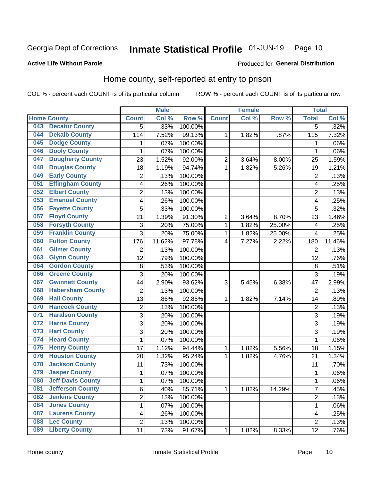#### Inmate Statistical Profile 01-JUN-19 Page 10

Produced for General Distribution

### **Active Life Without Parole**

# Home county, self-reported at entry to prison

COL % - percent each COUNT is of its particular column

|     |                          |                         | <b>Male</b> |         |                | <b>Female</b> |        | <b>Total</b>   |        |
|-----|--------------------------|-------------------------|-------------|---------|----------------|---------------|--------|----------------|--------|
|     | <b>Home County</b>       | <b>Count</b>            | Col %       | Row %   | <b>Count</b>   | Col%          | Row %  | <b>Total</b>   | Col %  |
| 043 | <b>Decatur County</b>    | 5                       | .33%        | 100.00% |                |               |        | 5              | .32%   |
| 044 | <b>Dekalb County</b>     | 114                     | 7.52%       | 99.13%  | 1              | 1.82%         | .87%   | 115            | 7.32%  |
| 045 | <b>Dodge County</b>      | 1                       | .07%        | 100.00% |                |               |        | 1              | .06%   |
| 046 | <b>Dooly County</b>      | $\mathbf 1$             | .07%        | 100.00% |                |               |        | 1              | .06%   |
| 047 | <b>Dougherty County</b>  | 23                      | 1.52%       | 92.00%  | $\overline{2}$ | 3.64%         | 8.00%  | 25             | 1.59%  |
| 048 | <b>Douglas County</b>    | 18                      | 1.19%       | 94.74%  | $\mathbf 1$    | 1.82%         | 5.26%  | 19             | 1.21%  |
| 049 | <b>Early County</b>      | 2                       | .13%        | 100.00% |                |               |        | $\overline{2}$ | .13%   |
| 051 | <b>Effingham County</b>  | 4                       | .26%        | 100.00% |                |               |        | 4              | .25%   |
| 052 | <b>Elbert County</b>     | $\overline{c}$          | .13%        | 100.00% |                |               |        | $\overline{2}$ | .13%   |
| 053 | <b>Emanuel County</b>    | 4                       | .26%        | 100.00% |                |               |        | 4              | .25%   |
| 056 | <b>Fayette County</b>    | 5                       | .33%        | 100.00% |                |               |        | 5              | .32%   |
| 057 | <b>Floyd County</b>      | 21                      | 1.39%       | 91.30%  | $\overline{2}$ | 3.64%         | 8.70%  | 23             | 1.46%  |
| 058 | <b>Forsyth County</b>    | 3                       | .20%        | 75.00%  | 1              | 1.82%         | 25.00% | 4              | .25%   |
| 059 | <b>Franklin County</b>   | 3                       | .20%        | 75.00%  | $\mathbf 1$    | 1.82%         | 25.00% | 4              | .25%   |
| 060 | <b>Fulton County</b>     | 176                     | 11.62%      | 97.78%  | 4              | 7.27%         | 2.22%  | 180            | 11.46% |
| 061 | <b>Gilmer County</b>     | $\overline{2}$          | .13%        | 100.00% |                |               |        | $\overline{2}$ | .13%   |
| 063 | <b>Glynn County</b>      | 12                      | .79%        | 100.00% |                |               |        | 12             | .76%   |
| 064 | <b>Gordon County</b>     | 8                       | .53%        | 100.00% |                |               |        | 8              | .51%   |
| 066 | <b>Greene County</b>     | 3                       | .20%        | 100.00% |                |               |        | 3              | .19%   |
| 067 | <b>Gwinnett County</b>   | 44                      | 2.90%       | 93.62%  | 3              | 5.45%         | 6.38%  | 47             | 2.99%  |
| 068 | <b>Habersham County</b>  | $\overline{c}$          | .13%        | 100.00% |                |               |        | $\overline{2}$ | .13%   |
| 069 | <b>Hall County</b>       | 13                      | .86%        | 92.86%  | 1              | 1.82%         | 7.14%  | 14             | .89%   |
| 070 | <b>Hancock County</b>    | 2                       | .13%        | 100.00% |                |               |        | $\overline{2}$ | .13%   |
| 071 | <b>Haralson County</b>   | 3                       | .20%        | 100.00% |                |               |        | 3              | .19%   |
| 072 | <b>Harris County</b>     | 3                       | .20%        | 100.00% |                |               |        | 3              | .19%   |
| 073 | <b>Hart County</b>       | 3                       | .20%        | 100.00% |                |               |        | 3              | .19%   |
| 074 | <b>Heard County</b>      | 1                       | .07%        | 100.00% |                |               |        | 1              | .06%   |
| 075 | <b>Henry County</b>      | 17                      | 1.12%       | 94.44%  | 1              | 1.82%         | 5.56%  | 18             | 1.15%  |
| 076 | <b>Houston County</b>    | 20                      | 1.32%       | 95.24%  | $\mathbf 1$    | 1.82%         | 4.76%  | 21             | 1.34%  |
| 078 | <b>Jackson County</b>    | 11                      | .73%        | 100.00% |                |               |        | 11             | .70%   |
| 079 | <b>Jasper County</b>     | 1                       | .07%        | 100.00% |                |               |        | 1              | .06%   |
| 080 | <b>Jeff Davis County</b> | 1                       | .07%        | 100.00% |                |               |        | 1              | .06%   |
| 081 | <b>Jefferson County</b>  | 6                       | .40%        | 85.71%  | $\mathbf 1$    | 1.82%         | 14.29% | 7              | .45%   |
| 082 | <b>Jenkins County</b>    | $\overline{2}$          | .13%        | 100.00% |                |               |        | 2              | .13%   |
| 084 | <b>Jones County</b>      | $\mathbf{1}$            | .07%        | 100.00% |                |               |        | 1              | .06%   |
| 087 | <b>Laurens County</b>    | $\overline{\mathbf{4}}$ | .26%        | 100.00% |                |               |        | 4              | .25%   |
| 088 | <b>Lee County</b>        | $\overline{c}$          | .13%        | 100.00% |                |               |        | $\overline{2}$ | .13%   |
| 089 | <b>Liberty County</b>    | 11                      | .73%        | 91.67%  | 1              | 1.82%         | 8.33%  | 12             | .76%   |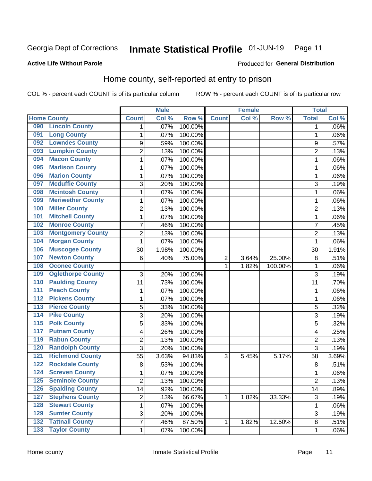#### Inmate Statistical Profile 01-JUN-19 Page 11

**Active Life Without Parole** 

#### Produced for General Distribution

# Home county, self-reported at entry to prison

COL % - percent each COUNT is of its particular column

|                  |                          |                | <b>Male</b> |         |              | <b>Female</b> |         | <b>Total</b>   |       |
|------------------|--------------------------|----------------|-------------|---------|--------------|---------------|---------|----------------|-------|
|                  | <b>Home County</b>       | <b>Count</b>   | Col %       | Row %   | <b>Count</b> | Col %         | Row %   | <b>Total</b>   | Col % |
| 090              | <b>Lincoln County</b>    | 1              | .07%        | 100.00% |              |               |         | 1              | .06%  |
| 091              | <b>Long County</b>       | 1              | .07%        | 100.00% |              |               |         | 1              | .06%  |
| 092              | <b>Lowndes County</b>    | 9              | .59%        | 100.00% |              |               |         | 9              | .57%  |
| 093              | <b>Lumpkin County</b>    | $\overline{c}$ | .13%        | 100.00% |              |               |         | $\overline{2}$ | .13%  |
| 094              | <b>Macon County</b>      | $\mathbf 1$    | .07%        | 100.00% |              |               |         | 1              | .06%  |
| 095              | <b>Madison County</b>    | $\mathbf 1$    | .07%        | 100.00% |              |               |         | 1              | .06%  |
| 096              | <b>Marion County</b>     | 1              | .07%        | 100.00% |              |               |         | 1              | .06%  |
| 097              | <b>Mcduffie County</b>   | 3              | .20%        | 100.00% |              |               |         | 3              | .19%  |
| 098              | <b>Mcintosh County</b>   | 1              | .07%        | 100.00% |              |               |         | 1              | .06%  |
| 099              | <b>Meriwether County</b> | $\mathbf 1$    | .07%        | 100.00% |              |               |         | 1              | .06%  |
| 100              | <b>Miller County</b>     | $\overline{c}$ | .13%        | 100.00% |              |               |         | $\overline{2}$ | .13%  |
| 101              | <b>Mitchell County</b>   | $\mathbf 1$    | .07%        | 100.00% |              |               |         | 1              | .06%  |
| 102              | <b>Monroe County</b>     | $\overline{7}$ | .46%        | 100.00% |              |               |         | 7              | .45%  |
| 103              | <b>Montgomery County</b> | $\overline{c}$ | .13%        | 100.00% |              |               |         | $\overline{2}$ | .13%  |
| 104              | <b>Morgan County</b>     | $\mathbf{1}$   | .07%        | 100.00% |              |               |         | 1              | .06%  |
| 106              | <b>Muscogee County</b>   | 30             | 1.98%       | 100.00% |              |               |         | 30             | 1.91% |
| 107              | <b>Newton County</b>     | 6              | .40%        | 75.00%  | 2            | 3.64%         | 25.00%  | 8              | .51%  |
| 108              | <b>Oconee County</b>     |                |             |         | 1            | 1.82%         | 100.00% | 1              | .06%  |
| 109              | <b>Oglethorpe County</b> | 3              | .20%        | 100.00% |              |               |         | 3              | .19%  |
| 110              | <b>Paulding County</b>   | 11             | .73%        | 100.00% |              |               |         | 11             | .70%  |
| 111              | <b>Peach County</b>      | 1              | .07%        | 100.00% |              |               |         | 1              | .06%  |
| $\overline{112}$ | <b>Pickens County</b>    | 1              | .07%        | 100.00% |              |               |         | 1              | .06%  |
| 113              | <b>Pierce County</b>     | 5              | .33%        | 100.00% |              |               |         | 5              | .32%  |
| 114              | <b>Pike County</b>       | 3              | .20%        | 100.00% |              |               |         | 3              | .19%  |
| $\overline{115}$ | <b>Polk County</b>       | 5              | .33%        | 100.00% |              |               |         | 5              | .32%  |
| 117              | <b>Putnam County</b>     | 4              | .26%        | 100.00% |              |               |         | 4              | .25%  |
| 119              | <b>Rabun County</b>      | $\overline{c}$ | .13%        | 100.00% |              |               |         | $\overline{c}$ | .13%  |
| 120              | <b>Randolph County</b>   | 3              | .20%        | 100.00% |              |               |         | 3              | .19%  |
| $121$            | <b>Richmond County</b>   | 55             | 3.63%       | 94.83%  | 3            | 5.45%         | 5.17%   | 58             | 3.69% |
| 122              | <b>Rockdale County</b>   | 8              | .53%        | 100.00% |              |               |         | 8              | .51%  |
| 124              | <b>Screven County</b>    | 1              | .07%        | 100.00% |              |               |         | 1              | .06%  |
| 125              | <b>Seminole County</b>   | $\overline{c}$ | .13%        | 100.00% |              |               |         | $\overline{2}$ | .13%  |
| 126              | <b>Spalding County</b>   | 14             | .92%        | 100.00% |              |               |         | 14             | .89%  |
| 127              | <b>Stephens County</b>   | $\overline{c}$ | .13%        | 66.67%  | 1            | 1.82%         | 33.33%  | 3              | .19%  |
| 128              | <b>Stewart County</b>    | $\mathbf 1$    | .07%        | 100.00% |              |               |         | 1              | .06%  |
| 129              | <b>Sumter County</b>     | 3              | .20%        | 100.00% |              |               |         | 3              | .19%  |
| 132              | <b>Tattnall County</b>   | $\overline{7}$ | .46%        | 87.50%  | 1            | 1.82%         | 12.50%  | 8              | .51%  |
| 133              | <b>Taylor County</b>     | $\mathbf{1}$   | .07%        | 100.00% |              |               |         | 1              | .06%  |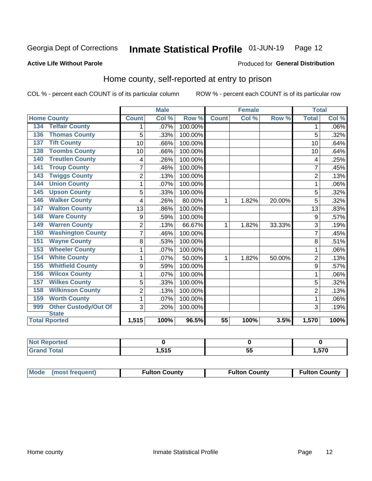#### Inmate Statistical Profile 01-JUN-19 Page 12

### **Active Life Without Parole**

#### Produced for General Distribution

# Home county, self-reported at entry to prison

COL % - percent each COUNT is of its particular column

|                                    |                | <b>Male</b> |         | <b>Female</b> |       |        | <b>Total</b>   |         |
|------------------------------------|----------------|-------------|---------|---------------|-------|--------|----------------|---------|
| <b>Home County</b>                 | <b>Count</b>   | Col %       | Row %   | <b>Count</b>  | Col % | Row %  | <b>Total</b>   | Col %   |
| <b>Telfair County</b><br>134       | 1              | $.07\%$     | 100.00% |               |       |        | 1              | $.06\%$ |
| <b>Thomas County</b><br>136        | 5              | .33%        | 100.00% |               |       |        | 5              | .32%    |
| <b>Tift County</b><br>137          | 10             | .66%        | 100.00% |               |       |        | 10             | .64%    |
| <b>Toombs County</b><br>138        | 10             | .66%        | 100.00% |               |       |        | 10             | .64%    |
| <b>Treutlen County</b><br>140      | 4              | .26%        | 100.00% |               |       |        | 4              | .25%    |
| <b>Troup County</b><br>141         | $\overline{7}$ | .46%        | 100.00% |               |       |        | 7              | .45%    |
| <b>Twiggs County</b><br>143        | $\overline{c}$ | .13%        | 100.00% |               |       |        | $\overline{2}$ | .13%    |
| <b>Union County</b><br>144         | 1              | .07%        | 100.00% |               |       |        |                | .06%    |
| <b>Upson County</b><br>145         | 5              | .33%        | 100.00% |               |       |        | 5              | .32%    |
| <b>Walker County</b><br>146        | 4              | .26%        | 80.00%  | 1             | 1.82% | 20.00% | 5              | .32%    |
| <b>Walton County</b><br>147        | 13             | .86%        | 100.00% |               |       |        | 13             | .83%    |
| <b>Ware County</b><br>148          | 9              | .59%        | 100.00% |               |       |        | 9              | .57%    |
| <b>Warren County</b><br>149        | $\overline{2}$ | .13%        | 66.67%  | 1             | 1.82% | 33.33% | 3              | .19%    |
| <b>Washington County</b><br>150    | 7              | .46%        | 100.00% |               |       |        | 7              | .45%    |
| <b>Wayne County</b><br>151         | 8              | .53%        | 100.00% |               |       |        | 8              | .51%    |
| <b>Wheeler County</b><br>153       | 1              | .07%        | 100.00% |               |       |        | 1              | .06%    |
| <b>White County</b><br>154         | 1              | .07%        | 50.00%  | 1             | 1.82% | 50.00% | $\overline{2}$ | .13%    |
| <b>Whitfield County</b><br>155     | 9              | .59%        | 100.00% |               |       |        | 9              | .57%    |
| <b>Wilcox County</b><br>156        | 1              | .07%        | 100.00% |               |       |        |                | .06%    |
| <b>Wilkes County</b><br>157        | 5              | .33%        | 100.00% |               |       |        | 5              | .32%    |
| <b>Wilkinson County</b><br>158     | $\overline{2}$ | .13%        | 100.00% |               |       |        | $\overline{2}$ | .13%    |
| <b>Worth County</b><br>159         | 1              | .07%        | 100.00% |               |       |        | 1              | .06%    |
| <b>Other Custody/Out Of</b><br>999 | 3              | .20%        | 100.00% |               |       |        | 3              | .19%    |
| <b>State</b>                       |                |             |         |               |       |        |                |         |
| <b>Total Rported</b>               | 1,515          | 100%        | 96.5%   | 55            | 100%  | 3.5%   | 1,570          | 100%    |

| <b>Not Reported</b> |                |    |      |
|---------------------|----------------|----|------|
| <b>cotal</b>        | E4F<br>1,0 I V | JJ | ,570 |

| Mode (most frequent) | <b>Fulton County</b> | <b>Fulton County</b> | <b>Fulton County</b> |
|----------------------|----------------------|----------------------|----------------------|
|----------------------|----------------------|----------------------|----------------------|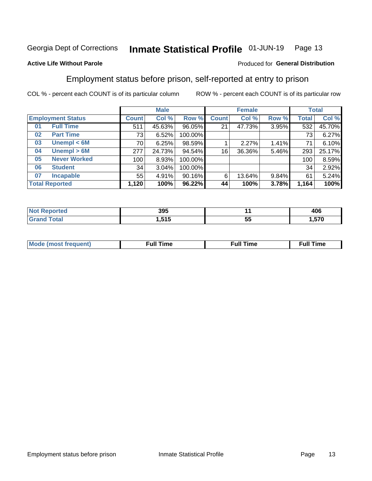#### Inmate Statistical Profile 01-JUN-19 Page 13

#### **Active Life Without Parole**

### Produced for General Distribution

# Employment status before prison, self-reported at entry to prison

COL % - percent each COUNT is of its particular column

|                          |                     | <b>Male</b>  |        |         | <b>Female</b> |        |       | <b>Total</b> |        |
|--------------------------|---------------------|--------------|--------|---------|---------------|--------|-------|--------------|--------|
| <b>Employment Status</b> |                     | <b>Count</b> | Col %  | Row %   | <b>Count</b>  | Col %  | Row % | Total        | Col %  |
| 01                       | <b>Full Time</b>    | 511          | 45.63% | 96.05%  | 21            | 47.73% | 3.95% | 532          | 45.70% |
| 02                       | <b>Part Time</b>    | 73           | 6.52%  | 100.00% |               |        |       | 73           | 6.27%  |
| 03                       | Unempl $<$ 6M       | 70           | 6.25%  | 98.59%  |               | 2.27%  | 1.41% | 71           | 6.10%  |
| 04                       | Unempl > 6M         | 277          | 24.73% | 94.54%  | 16            | 36.36% | 5.46% | 293          | 25.17% |
| 05                       | <b>Never Worked</b> | 100          | 8.93%  | 100.00% |               |        |       | 100          | 8.59%  |
| 06                       | <b>Student</b>      | 34           | 3.04%  | 100.00% |               |        |       | 34           | 2.92%  |
| 07                       | <b>Incapable</b>    | 55           | 4.91%  | 90.16%  | 6             | 13.64% | 9.84% | 61           | 5.24%  |
| <b>Total Reported</b>    |                     | 1,120        | 100%   | 96.22%  | 44            | 100%   | 3.78% | 1,164        | 100%   |

| 395<br>- - - |    | $\sqrt{2}$<br>TUU |
|--------------|----|-------------------|
| <b>646</b>   | -- | 570               |
| ''           | JJ | . ,               |

| Mc | ∴ull | ----<br>ıme<br>w |
|----|------|------------------|
|    |      |                  |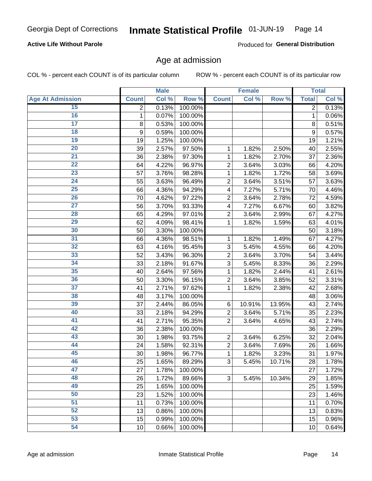### **Active Life Without Parole**

Produced for General Distribution

### Age at admission

COL % - percent each COUNT is of its particular column

|                         |              | <b>Male</b> |         |                | <b>Female</b> |        |              | <b>Total</b> |
|-------------------------|--------------|-------------|---------|----------------|---------------|--------|--------------|--------------|
| <b>Age At Admission</b> | <b>Count</b> | Col %       | Row %   | <b>Count</b>   | Col %         | Row %  | <b>Total</b> | Col %        |
| 15                      | 2            | 0.13%       | 100.00% |                |               |        | 2            | 0.13%        |
| 16                      | 1            | 0.07%       | 100.00% |                |               |        | 1            | 0.06%        |
| $\overline{17}$         | 8            | 0.53%       | 100.00% |                |               |        | 8            | 0.51%        |
| 18                      | 9            | 0.59%       | 100.00% |                |               |        | 9            | 0.57%        |
| 19                      | 19           | 1.25%       | 100.00% |                |               |        | 19           | 1.21%        |
| $\overline{20}$         | 39           | 2.57%       | 97.50%  | 1              | 1.82%         | 2.50%  | 40           | 2.55%        |
| $\overline{21}$         | 36           | 2.38%       | 97.30%  | 1              | 1.82%         | 2.70%  | 37           | 2.36%        |
| 22                      | 64           | 4.22%       | 96.97%  | $\overline{2}$ | 3.64%         | 3.03%  | 66           | 4.20%        |
| 23                      | 57           | 3.76%       | 98.28%  | 1              | 1.82%         | 1.72%  | 58           | 3.69%        |
| 24                      | 55           | 3.63%       | 96.49%  | $\overline{2}$ | 3.64%         | 3.51%  | 57           | 3.63%        |
| $\overline{25}$         | 66           | 4.36%       | 94.29%  | 4              | 7.27%         | 5.71%  | 70           | 4.46%        |
| 26                      | 70           | 4.62%       | 97.22%  | $\overline{2}$ | 3.64%         | 2.78%  | 72           | 4.59%        |
| $\overline{27}$         | 56           | 3.70%       | 93.33%  | 4              | 7.27%         | 6.67%  | 60           | 3.82%        |
| 28                      | 65           | 4.29%       | 97.01%  | $\overline{2}$ | 3.64%         | 2.99%  | 67           | 4.27%        |
| 29                      | 62           | 4.09%       | 98.41%  | 1              | 1.82%         | 1.59%  | 63           | 4.01%        |
| 30                      | 50           | 3.30%       | 100.00% |                |               |        | 50           | 3.18%        |
| 31                      | 66           | 4.36%       | 98.51%  | 1              | 1.82%         | 1.49%  | 67           | 4.27%        |
| 32                      | 63           | 4.16%       | 95.45%  | 3              | 5.45%         | 4.55%  | 66           | 4.20%        |
| 33                      | 52           | 3.43%       | 96.30%  | $\overline{2}$ | 3.64%         | 3.70%  | 54           | 3.44%        |
| 34                      | 33           | 2.18%       | 91.67%  | 3              | 5.45%         | 8.33%  | 36           | 2.29%        |
| 35                      | 40           | 2.64%       | 97.56%  | 1              | 1.82%         | 2.44%  | 41           | 2.61%        |
| 36                      | 50           | 3.30%       | 96.15%  | $\overline{2}$ | 3.64%         | 3.85%  | 52           | 3.31%        |
| $\overline{37}$         | 41           | 2.71%       | 97.62%  | 1              | 1.82%         | 2.38%  | 42           | 2.68%        |
| 38                      | 48           | 3.17%       | 100.00% |                |               |        | 48           | 3.06%        |
| 39                      | 37           | 2.44%       | 86.05%  | 6              | 10.91%        | 13.95% | 43           | 2.74%        |
| 40                      | 33           | 2.18%       | 94.29%  | $\overline{2}$ | 3.64%         | 5.71%  | 35           | 2.23%        |
| 41                      | 41           | 2.71%       | 95.35%  | $\overline{2}$ | 3.64%         | 4.65%  | 43           | 2.74%        |
| 42                      | 36           | 2.38%       | 100.00% |                |               |        | 36           | 2.29%        |
| 43                      | 30           | 1.98%       | 93.75%  | $\overline{2}$ | 3.64%         | 6.25%  | 32           | 2.04%        |
| 44                      | 24           | 1.58%       | 92.31%  | $\overline{2}$ | 3.64%         | 7.69%  | 26           | 1.66%        |
| 45                      | 30           | 1.98%       | 96.77%  | 1              | 1.82%         | 3.23%  | 31           | 1.97%        |
| 46                      | 25           | 1.65%       | 89.29%  | 3              | 5.45%         | 10.71% | 28           | 1.78%        |
| 47                      | 27           | 1.78%       | 100.00% |                |               |        | 27           | 1.72%        |
| 48                      | 26           | 1.72%       | 89.66%  | 3              | 5.45%         | 10.34% | 29           | 1.85%        |
| 49                      | 25           | 1.65%       | 100.00% |                |               |        | 25           | 1.59%        |
| 50                      | 23           | 1.52%       | 100.00% |                |               |        | 23           | 1.46%        |
| $\overline{51}$         | 11           | 0.73%       | 100.00% |                |               |        | 11           | 0.70%        |
| 52                      | 13           | 0.86%       | 100.00% |                |               |        | 13           | 0.83%        |
| 53                      | 15           | 0.99%       | 100.00% |                |               |        | 15           | 0.96%        |
| 54                      | 10           | 0.66%       | 100.00% |                |               |        | 10           | 0.64%        |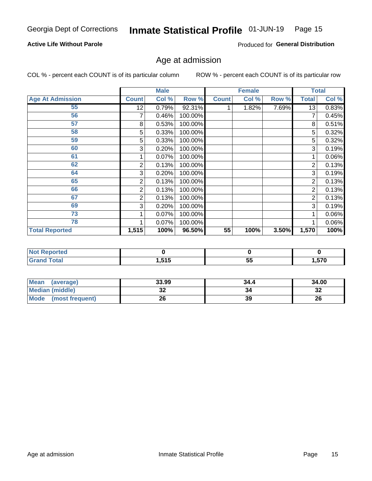#### Inmate Statistical Profile 01-JUN-19 Page 15

### **Active Life Without Parole**

Produced for General Distribution

# Age at admission

COL % - percent each COUNT is of its particular column

|                         |              | <b>Male</b> |         |              | <b>Female</b> |       |       | <b>Total</b> |
|-------------------------|--------------|-------------|---------|--------------|---------------|-------|-------|--------------|
| <b>Age At Admission</b> | <b>Count</b> | Col %       | Row %   | <b>Count</b> | Col %         | Row % | Total | Col %        |
| 55                      | 12           | 0.79%       | 92.31%  |              | 1.82%         | 7.69% | 13    | 0.83%        |
| 56                      |              | 0.46%       | 100.00% |              |               |       |       | 0.45%        |
| 57                      | 8            | 0.53%       | 100.00% |              |               |       | 8     | 0.51%        |
| 58                      | 5            | 0.33%       | 100.00% |              |               |       | 5     | 0.32%        |
| 59                      | 5            | 0.33%       | 100.00% |              |               |       | 5     | 0.32%        |
| 60                      | 3            | 0.20%       | 100.00% |              |               |       | 3     | 0.19%        |
| 61                      |              | 0.07%       | 100.00% |              |               |       |       | 0.06%        |
| 62                      | 2            | 0.13%       | 100.00% |              |               |       | 2     | 0.13%        |
| 64                      | 3            | 0.20%       | 100.00% |              |               |       | 3     | 0.19%        |
| 65                      | 2            | 0.13%       | 100.00% |              |               |       | 2     | 0.13%        |
| 66                      | 2            | 0.13%       | 100.00% |              |               |       | 2     | 0.13%        |
| 67                      | 2            | 0.13%       | 100.00% |              |               |       | 2     | 0.13%        |
| 69                      | 3            | 0.20%       | 100.00% |              |               |       | 3     | 0.19%        |
| 73                      |              | 0.07%       | 100.00% |              |               |       |       | 0.06%        |
| 78                      |              | 0.07%       | 100.00% |              |               |       |       | 0.06%        |
| <b>Total Reported</b>   | 1,515        | 100%        | 96.50%  | 55           | 100%          | 3.50% | 1,570 | 100%         |

| <b>Reported</b><br><b>NOT</b><br>$\sim$ |            |     |        |
|-----------------------------------------|------------|-----|--------|
| <b>otal</b>                             | <b>EAR</b> | --  | ---    |
|                                         | .J I V     | ັບພ | י ני ו |

| <b>Mean</b><br>(average) | 33.99   | 34.4 | 34.00   |
|--------------------------|---------|------|---------|
| <b>Median (middle)</b>   | ົ<br>JZ | 34   | ົ<br>∠ت |
| Mode<br>(most frequent)  | 26      | 39   | 26      |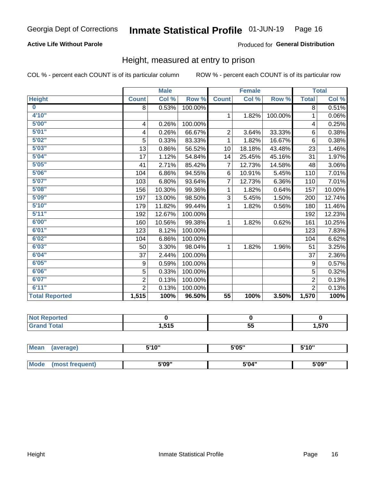### **Active Life Without Parole**

### Produced for General Distribution

### Height, measured at entry to prison

COL % - percent each COUNT is of its particular column

|                       |                         | <b>Male</b> |         |                | <b>Female</b>              |         |                | <b>Total</b> |
|-----------------------|-------------------------|-------------|---------|----------------|----------------------------|---------|----------------|--------------|
| <b>Height</b>         | <b>Count</b>            | Col %       | Row %   | <b>Count</b>   | $\overline{\text{Col }^9}$ | Row %   | <b>Total</b>   | Col %        |
| $\bf{0}$              | 8                       | 0.53%       | 100.00% |                |                            |         | 8              | 0.51%        |
| 4'10''                |                         |             |         | $\mathbf 1$    | 1.82%                      | 100.00% | 1              | 0.06%        |
| 5'00''                | $\overline{\mathbf{4}}$ | 0.26%       | 100.00% |                |                            |         | 4              | 0.25%        |
| 5'01"                 | 4                       | 0.26%       | 66.67%  | $\overline{2}$ | 3.64%                      | 33.33%  | 6              | 0.38%        |
| 5'02"                 | 5                       | 0.33%       | 83.33%  | 1              | 1.82%                      | 16.67%  | $6\phantom{1}$ | 0.38%        |
| 5'03''                | 13                      | 0.86%       | 56.52%  | 10             | 18.18%                     | 43.48%  | 23             | 1.46%        |
| 5'04"                 | 17                      | 1.12%       | 54.84%  | 14             | 25.45%                     | 45.16%  | 31             | 1.97%        |
| 5'05"                 | 41                      | 2.71%       | 85.42%  | 7              | 12.73%                     | 14.58%  | 48             | 3.06%        |
| 5'06"                 | 104                     | 6.86%       | 94.55%  | 6              | 10.91%                     | 5.45%   | 110            | 7.01%        |
| 5'07''                | 103                     | 6.80%       | 93.64%  | 7              | 12.73%                     | 6.36%   | 110            | 7.01%        |
| 5'08''                | 156                     | 10.30%      | 99.36%  | 1              | 1.82%                      | 0.64%   | 157            | 10.00%       |
| 5'09''                | 197                     | 13.00%      | 98.50%  | 3              | 5.45%                      | 1.50%   | 200            | 12.74%       |
| 5'10''                | 179                     | 11.82%      | 99.44%  | 1              | 1.82%                      | 0.56%   | 180            | 11.46%       |
| 5'11"                 | 192                     | 12.67%      | 100.00% |                |                            |         | 192            | 12.23%       |
| 6'00''                | 160                     | 10.56%      | 99.38%  | 1              | 1.82%                      | 0.62%   | 161            | 10.25%       |
| 6'01''                | 123                     | 8.12%       | 100.00% |                |                            |         | 123            | 7.83%        |
| 6'02"                 | 104                     | 6.86%       | 100.00% |                |                            |         | 104            | 6.62%        |
| 6'03''                | 50                      | 3.30%       | 98.04%  | $\mathbf{1}$   | 1.82%                      | 1.96%   | 51             | 3.25%        |
| 6'04"                 | 37                      | 2.44%       | 100.00% |                |                            |         | 37             | 2.36%        |
| 6'05"                 | 9                       | 0.59%       | 100.00% |                |                            |         | 9              | 0.57%        |
| 6'06"                 | 5                       | 0.33%       | 100.00% |                |                            |         | 5              | 0.32%        |
| 6'07''                | $\overline{2}$          | 0.13%       | 100.00% |                |                            |         | $\overline{2}$ | 0.13%        |
| 6'11''                | $\overline{2}$          | 0.13%       | 100.00% |                |                            |         | $\overline{2}$ | 0.13%        |
| <b>Total Reported</b> | 1,515                   | 100%        | 96.50%  | 55             | 100%                       | 3.50%   | 1,570          | 100%         |

| eported     |      |                |      |
|-------------|------|----------------|------|
| <b>otal</b> | .515 | --<br>~*<br>Ju | .570 |

| <b>Mean</b> | (average)       | 5'10" | 5'05" | 5'10'' |
|-------------|-----------------|-------|-------|--------|
|             |                 |       |       |        |
| <b>Mode</b> | (most frequent) | 5'09" | 5'04" | 5'09"  |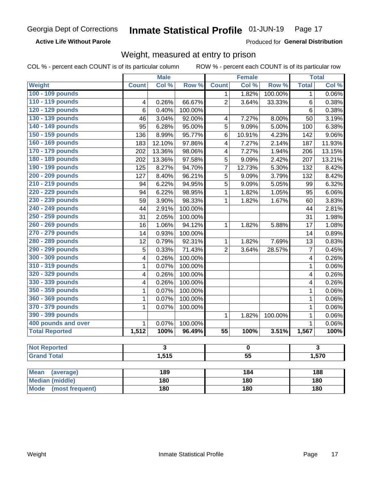**Active Life Without Parole** 

Produced for General Distribution

## Weight, measured at entry to prison

COL % - percent each COUNT is of its particular column

|                                |              | <b>Male</b> |         |                 | <b>Female</b> |         |              | <b>Total</b> |  |
|--------------------------------|--------------|-------------|---------|-----------------|---------------|---------|--------------|--------------|--|
| <b>Weight</b>                  | <b>Count</b> | Col %       | Row %   | <b>Count</b>    | Col %         | Row %   | <b>Total</b> | Col %        |  |
| 100 - 109 pounds               |              |             |         | 1               | 1.82%         | 100.00% | 1            | 0.06%        |  |
| 110 - 119 pounds               | 4            | 0.26%       | 66.67%  | $\overline{2}$  | 3.64%         | 33.33%  | 6            | 0.38%        |  |
| 120 - 129 pounds               | 6            | 0.40%       | 100.00% |                 |               |         | 6            | 0.38%        |  |
| 130 - 139 pounds               | 46           | 3.04%       | 92.00%  | 4               | 7.27%         | 8.00%   | 50           | 3.19%        |  |
| 140 - 149 pounds               | 95           | 6.28%       | 95.00%  | 5               | 9.09%         | 5.00%   | 100          | 6.38%        |  |
| 150 - 159 pounds               | 136          | 8.99%       | 95.77%  | 6               | 10.91%        | 4.23%   | 142          | $9.06\%$     |  |
| 160 - 169 pounds               | 183          | 12.10%      | 97.86%  | 4               | 7.27%         | 2.14%   | 187          | 11.93%       |  |
| 170 - 179 pounds               | 202          | 13.36%      | 98.06%  | 4               | 7.27%         | 1.94%   | 206          | 13.15%       |  |
| 180 - 189 pounds               | 202          | 13.36%      | 97.58%  | 5               | 9.09%         | 2.42%   | 207          | 13.21%       |  |
| 190 - 199 pounds               | 125          | 8.27%       | 94.70%  | 7               | 12.73%        | 5.30%   | 132          | 8.42%        |  |
| 200 - 209 pounds               | 127          | 8.40%       | 96.21%  | 5               | 9.09%         | 3.79%   | 132          | 8.42%        |  |
| 210 - 219 pounds               | 94           | 6.22%       | 94.95%  | 5               | 9.09%         | 5.05%   | 99           | 6.32%        |  |
| 220 - 229 pounds               | 94           | 6.22%       | 98.95%  | 1               | 1.82%         | 1.05%   | 95           | 6.06%        |  |
| 230 - 239 pounds               | 59           | 3.90%       | 98.33%  | 1               | 1.82%         | 1.67%   | 60           | 3.83%        |  |
| 240 - 249 pounds               | 44           | 2.91%       | 100.00% |                 |               |         | 44           | 2.81%        |  |
| 250 - 259 pounds               | 31           | 2.05%       | 100.00% |                 |               |         | 31           | 1.98%        |  |
| 260 - 269 pounds               | 16           | 1.06%       | 94.12%  | 1               | 1.82%         | 5.88%   | 17           | 1.08%        |  |
| 270 - 279 pounds               | 14           | 0.93%       | 100.00% |                 |               |         | 14           | 0.89%        |  |
| 280 - 289 pounds               | 12           | 0.79%       | 92.31%  | 1               | 1.82%         | 7.69%   | 13           | 0.83%        |  |
| 290 - 299 pounds               | 5            | 0.33%       | 71.43%  | $\overline{2}$  | 3.64%         | 28.57%  | 7            | 0.45%        |  |
| 300 - 309 pounds               | 4            | 0.26%       | 100.00% |                 |               |         | 4            | 0.26%        |  |
| 310 - 319 pounds               | 1            | 0.07%       | 100.00% |                 |               |         | $\mathbf 1$  | 0.06%        |  |
| 320 - 329 pounds               | 4            | 0.26%       | 100.00% |                 |               |         | 4            | 0.26%        |  |
| 330 - 339 pounds               | 4            | 0.26%       | 100.00% |                 |               |         | 4            | 0.26%        |  |
| 350 - 359 pounds               | 1            | 0.07%       | 100.00% |                 |               |         | 1            | 0.06%        |  |
| 360 - 369 pounds               | 1            | 0.07%       | 100.00% |                 |               |         | $\mathbf 1$  | 0.06%        |  |
| 370 - 379 pounds               | 1            | 0.07%       | 100.00% |                 |               |         | 1            | 0.06%        |  |
| 390 - 399 pounds               |              |             |         | 1               | 1.82%         | 100.00% | 1            | 0.06%        |  |
| 400 pounds and over            | $\mathbf{1}$ | 0.07%       | 100.00% |                 |               |         | $\mathbf{1}$ | 0.06%        |  |
| <b>Total Reported</b>          | 1,512        | 100%        | 96.49%  | $\overline{55}$ | 100%          | 3.51%   | 1,567        | 100%         |  |
|                                |              |             |         |                 |               |         |              |              |  |
| <b>Not Reported</b>            | 3            |             | o       |                 | 3             |         |              |              |  |
| <b>Grand Total</b>             |              | 1,515       |         | $\overline{55}$ |               |         | 1,570        |              |  |
|                                |              |             |         |                 |               |         |              |              |  |
| <b>Mean</b><br>(average)       |              | 189         |         |                 | 184           |         |              | 188          |  |
| <b>Median (middle)</b>         |              | 180         |         |                 | 180           |         |              | 180          |  |
| <b>Mode</b><br>(most frequent) |              | 180         |         | 180             |               |         | <b>180</b>   |              |  |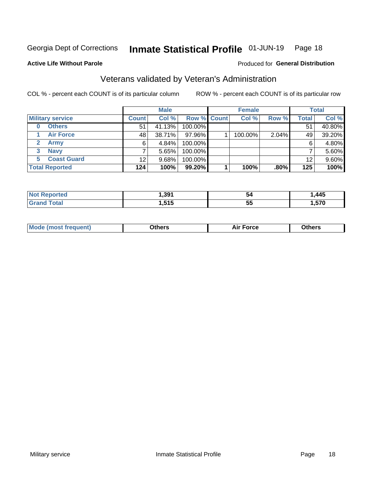#### Inmate Statistical Profile 01-JUN-19 Page 18

#### **Active Life Without Parole**

### Produced for General Distribution

# Veterans validated by Veteran's Administration

COL % - percent each COUNT is of its particular column

|                          |              | <b>Male</b> |                    | <b>Female</b> |       |       | <b>Total</b> |
|--------------------------|--------------|-------------|--------------------|---------------|-------|-------|--------------|
| <b>Military service</b>  | <b>Count</b> | Col %       | <b>Row % Count</b> | Col %         | Row % | Total | Col %        |
| <b>Others</b><br>0       | 51           | 41.13%      | 100.00%            |               |       | 51    | 40.80%       |
| <b>Air Force</b>         | 48           | 38.71%      | 97.96%             | 100.00%       | 2.04% | 49    | 39.20%       |
| <b>Army</b>              | 6            | 4.84%       | 100.00%            |               |       | 6     | 4.80%        |
| <b>Navy</b><br>3         |              | 5.65%       | 100.00%            |               |       |       | 5.60%        |
| <b>Coast Guard</b><br>5. | 12           | 9.68%       | 100.00%            |               |       | 12    | 9.60%        |
| <b>Total Reported</b>    | 124          | 100%        | 99.20%             | 100%          | .80%  | 125   | 100%         |

|                     | 391   | <b>D4</b> | ,445   |
|---------------------|-------|-----------|--------|
| $f \sim 4 \times 7$ | 64 F  | --        | 570    |
|                     | טו טו | v.        | $\sim$ |

| <b>Mode</b><br>™orce<br>วthers<br>de (most frequent)<br>วthers |
|----------------------------------------------------------------|
|----------------------------------------------------------------|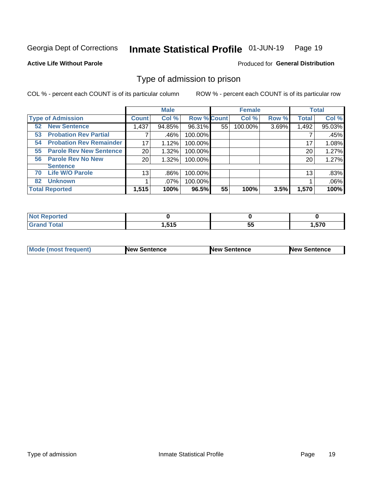#### Inmate Statistical Profile 01-JUN-19 Page 19

#### **Active Life Without Parole**

#### Produced for General Distribution

## Type of admission to prison

COL % - percent each COUNT is of its particular column

|                                      |                 | <b>Male</b> |                    |    | <b>Female</b> |       |              | <b>Total</b> |
|--------------------------------------|-----------------|-------------|--------------------|----|---------------|-------|--------------|--------------|
| <b>Type of Admission</b>             | <b>Count</b>    | Col %       | <b>Row % Count</b> |    | Col %         | Row % | <b>Total</b> | Col %        |
| <b>New Sentence</b><br>52            | 1,437           | 94.85%      | 96.31%             | 55 | 100.00%       | 3.69% | 1,492        | 95.03%       |
| <b>Probation Rev Partial</b><br>53   |                 | .46%        | 100.00%            |    |               |       |              | .45%         |
| <b>Probation Rev Remainder</b><br>54 | 17              | 1.12%       | 100.00%            |    |               |       | 17           | 1.08%        |
| <b>Parole Rev New Sentence</b><br>55 | 20              | 1.32%       | 100.00%            |    |               |       | 20           | 1.27%        |
| <b>Parole Rev No New</b><br>56       | 20              | 1.32%       | 100.00%            |    |               |       | 20           | 1.27%        |
| <b>Sentence</b>                      |                 |             |                    |    |               |       |              |              |
| <b>Life W/O Parole</b><br>70         | 13 <sub>1</sub> | .86%        | 100.00%            |    |               |       | 13           | .83%         |
| <b>Unknown</b><br>82                 |                 | $.07\%$     | 100.00%            |    |               |       |              | .06%         |
| <b>Total Reported</b>                | 1,515           | 100%        | 96.5%              | 55 | 100%          | 3.5%  | 1,570        | 100%         |

| <b>Not</b><br>: Reported |                     |         |          |
|--------------------------|---------------------|---------|----------|
| <b>Total</b>             | <b>646</b><br>1.919 | --<br>ು | . 570. ، |

| Mode (most frequent) | <b>New Sentence</b> | <b>New Sentence</b> | <b>New Sentence</b> |
|----------------------|---------------------|---------------------|---------------------|
|                      |                     |                     |                     |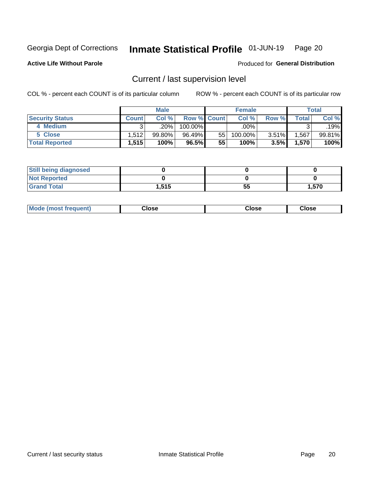# Inmate Statistical Profile 01-JUN-19 Page 20

**Active Life Without Parole** 

Produced for General Distribution

# Current / last supervision level

COL % - percent each COUNT is of its particular column

|                        |         | <b>Male</b> |                    |     | <b>Female</b> |       |       | <b>Total</b> |
|------------------------|---------|-------------|--------------------|-----|---------------|-------|-------|--------------|
| <b>Security Status</b> | Count l | Col%        | <b>Row % Count</b> |     | Col %         | Row % | Total | Col %        |
| 4 Medium               |         | $.20\%$     | 100.00%            |     | .00%          |       |       | .19%         |
| 5 Close                | 1.512   | 99.80%      | 96.49%             | 551 | 100.00%       | 3.51% | ,567  | 99.81%       |
| <b>Total Reported</b>  | 1,515   | 100%        | 96.5%              | 55  | 100%          | 3.5%  | 1,570 | 100%         |

| <b>Still being diagnosed</b> |       |    |       |
|------------------------------|-------|----|-------|
| <b>Not Reported</b>          |       |    |       |
| <b>Grand Total</b>           | 1,515 | 55 | 1.570 |

| <b>Mode (most frequent)</b> | Close | ∵lose | Close |
|-----------------------------|-------|-------|-------|
|                             |       |       |       |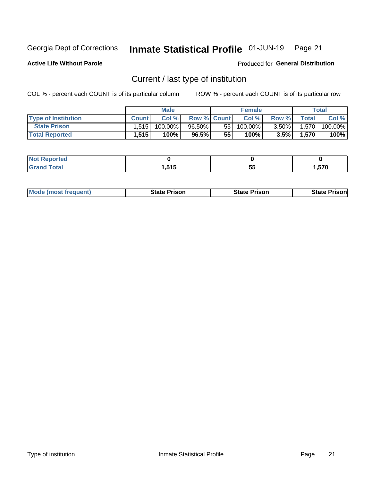#### Inmate Statistical Profile 01-JUN-19 Page 21

**Active Life Without Parole** 

Produced for General Distribution

# Current / last type of institution

COL % - percent each COUNT is of its particular column

|                            |        | <b>Male</b> |                    |    | <b>Female</b> |          |       | Total   |
|----------------------------|--------|-------------|--------------------|----|---------------|----------|-------|---------|
| <b>Type of Institution</b> | Count. | Col%        | <b>Row % Count</b> |    | Col %         | Row %    | Total | Col %   |
| <b>State Prison</b>        | 1.515  | $100.00\%$  | $96.50\%$          | 55 | $100.00\%$    | $3.50\%$ | 1,570 | 100.00% |
| <b>Total Reported</b>      | 1,515  | 100%        | 96.5%              | 55 | 100%          | 3.5%     | 1,570 | 100%    |

| тео |                   |    |              |
|-----|-------------------|----|--------------|
|     | <b>EAE</b><br>. . | ວະ | $- - -$<br>J |

|  | <b>Mode (most frequent)</b> | State Prison | <b>State Prison</b> | <b>State Prison</b> |
|--|-----------------------------|--------------|---------------------|---------------------|
|--|-----------------------------|--------------|---------------------|---------------------|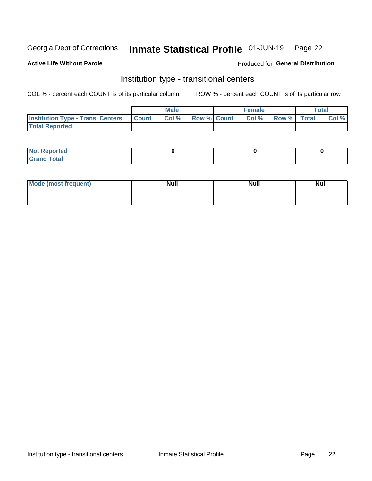#### Inmate Statistical Profile 01-JUN-19 Page 22

#### **Active Life Without Parole**

### Produced for General Distribution

# Institution type - transitional centers

COL % - percent each COUNT is of its particular column

|                                                | Male  |                    | <b>Female</b> |                   | Total |
|------------------------------------------------|-------|--------------------|---------------|-------------------|-------|
| <b>Institution Type - Trans. Centers Count</b> | Col % | <b>Row % Count</b> |               | Col % Row % Total | Col % |
| <b>Total Reported</b>                          |       |                    |               |                   |       |

| <b>Reported</b><br><b>NOT</b><br>$\sim$            |  |  |
|----------------------------------------------------|--|--|
| $f$ $f \circ f \circ f$<br>$C = 1$<br><b>TULAI</b> |  |  |

| Mode (most frequent) | <b>Null</b> | <b>Null</b> | <b>Null</b> |
|----------------------|-------------|-------------|-------------|
|                      |             |             |             |
|                      |             |             |             |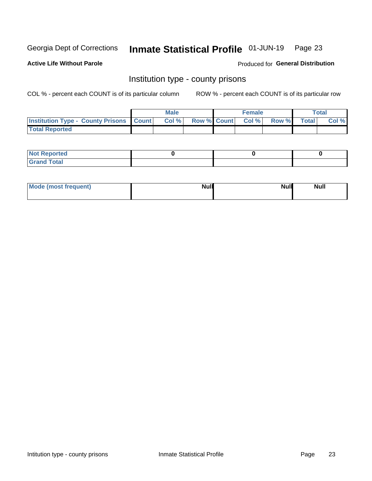# Inmate Statistical Profile 01-JUN-19 Page 23

**Active Life Without Parole** 

Produced for General Distribution

### Institution type - county prisons

COL % - percent each COUNT is of its particular column

|                                                    | <b>Male</b> |       |  | <b>Female</b> |                          |             | <b>Total</b> |       |
|----------------------------------------------------|-------------|-------|--|---------------|--------------------------|-------------|--------------|-------|
| <b>Institution Type - County Prisons   Count  </b> |             | Col % |  |               | <b>Row % Count Col %</b> | Row % Total |              | Col % |
| <b>Total Reported</b>                              |             |       |  |               |                          |             |              |       |

| <b>Not</b><br>: Reported<br> |  |  |
|------------------------------|--|--|
| <b>Total</b><br>---          |  |  |

| Mode (most frequent) | <b>Null</b> | <b>Null</b><br><b>Null</b> |
|----------------------|-------------|----------------------------|
|                      |             |                            |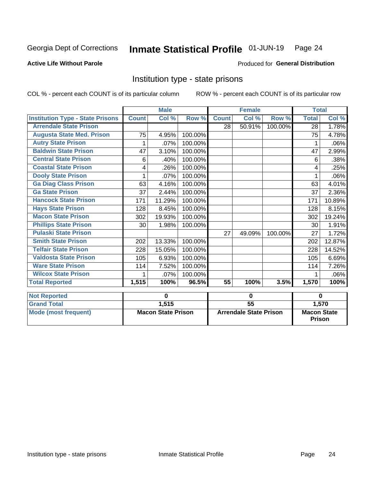#### Inmate Statistical Profile 01-JUN-19 Page 24

### **Active Life Without Parole**

#### Produced for General Distribution

# Institution type - state prisons

COL % - percent each COUNT is of its particular column

|                                         | <b>Male</b>               |        |                               | <b>Female</b>   |        |                                     | <b>Total</b> |        |
|-----------------------------------------|---------------------------|--------|-------------------------------|-----------------|--------|-------------------------------------|--------------|--------|
| <b>Institution Type - State Prisons</b> | <b>Count</b>              | Col %  | Row %                         | <b>Count</b>    | Col %  | Row %                               | <b>Total</b> | Col %  |
| <b>Arrendale State Prison</b>           |                           |        |                               | 28              | 50.91% | 100.00%                             | 28           | 1.78%  |
| <b>Augusta State Med. Prison</b>        | 75                        | 4.95%  | 100.00%                       |                 |        |                                     | 75           | 4.78%  |
| <b>Autry State Prison</b>               | 1                         | .07%   | 100.00%                       |                 |        |                                     | 1            | .06%   |
| <b>Baldwin State Prison</b>             | 47                        | 3.10%  | 100.00%                       |                 |        |                                     | 47           | 2.99%  |
| <b>Central State Prison</b>             | 6                         | .40%   | 100.00%                       |                 |        |                                     | 6            | .38%   |
| <b>Coastal State Prison</b>             | 4                         | .26%   | 100.00%                       |                 |        |                                     | 4            | .25%   |
| <b>Dooly State Prison</b>               | 1                         | .07%   | 100.00%                       |                 |        |                                     |              | .06%   |
| <b>Ga Diag Class Prison</b>             | 63                        | 4.16%  | 100.00%                       |                 |        |                                     | 63           | 4.01%  |
| <b>Ga State Prison</b>                  | 37                        | 2.44%  | 100.00%                       |                 |        |                                     | 37           | 2.36%  |
| <b>Hancock State Prison</b>             | 171                       | 11.29% | 100.00%                       |                 |        |                                     | 171          | 10.89% |
| <b>Hays State Prison</b>                | 128                       | 8.45%  | 100.00%                       |                 |        |                                     | 128          | 8.15%  |
| <b>Macon State Prison</b>               | 302                       | 19.93% | 100.00%                       |                 |        |                                     | 302          | 19.24% |
| <b>Phillips State Prison</b>            | 30                        | 1.98%  | 100.00%                       |                 |        |                                     | 30           | 1.91%  |
| <b>Pulaski State Prison</b>             |                           |        |                               | 27              | 49.09% | 100.00%                             | 27           | 1.72%  |
| <b>Smith State Prison</b>               | 202                       | 13.33% | 100.00%                       |                 |        |                                     | 202          | 12.87% |
| <b>Telfair State Prison</b>             | 228                       | 15.05% | 100.00%                       |                 |        |                                     | 228          | 14.52% |
| <b>Valdosta State Prison</b>            | 105                       | 6.93%  | 100.00%                       |                 |        |                                     | 105          | 6.69%  |
| <b>Ware State Prison</b>                | 114                       | 7.52%  | 100.00%                       |                 |        |                                     | 114          | 7.26%  |
| <b>Wilcox State Prison</b>              | 1                         | .07%   | 100.00%                       |                 |        |                                     | 1            | .06%   |
| <b>Total Reported</b>                   | 1,515                     | 100%   | 96.5%                         | 55              | 100%   | 3.5%                                | 1,570        | 100%   |
| <b>Not Reported</b>                     | 0                         |        | 0                             |                 |        | $\bf{0}$                            |              |        |
| <b>Grand Total</b>                      |                           | 1,515  |                               | $\overline{55}$ |        |                                     | 1,570        |        |
| <b>Mode (most frequent)</b>             | <b>Macon State Prison</b> |        | <b>Arrendale State Prison</b> |                 |        | <b>Macon State</b><br><b>Prison</b> |              |        |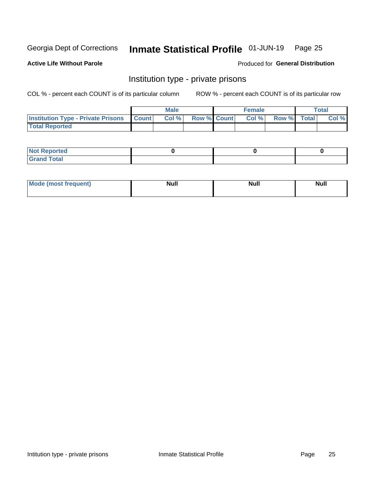# Inmate Statistical Profile 01-JUN-19 Page 25

### **Active Life Without Parole**

#### Produced for General Distribution

# Institution type - private prisons

COL % - percent each COUNT is of its particular column

|                                                 | <b>Male</b> |       |                    | <b>Female</b> |       |             | Total |       |
|-------------------------------------------------|-------------|-------|--------------------|---------------|-------|-------------|-------|-------|
| <b>Institution Type - Private Prisons Count</b> |             | Col % | <b>Row % Count</b> |               | Col % | Row % Total |       | Col % |
| <b>Total Reported</b>                           |             |       |                    |               |       |             |       |       |

| Not Reported           |  |  |
|------------------------|--|--|
| <b>Cotal</b><br>______ |  |  |

| <b>Mo</b><br>frequent) | <b>Null</b> | <b>Null</b> | . . I *<br><b>IVUII</b> |
|------------------------|-------------|-------------|-------------------------|
|                        |             |             |                         |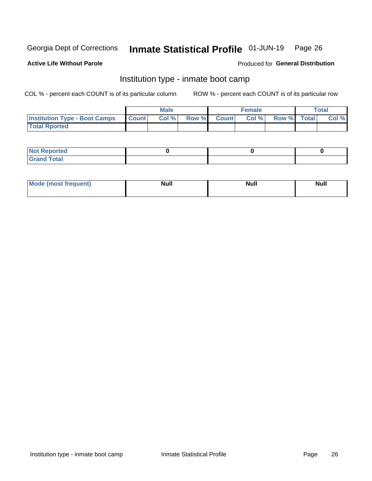#### Inmate Statistical Profile 01-JUN-19 Page 26

### **Active Life Without Parole**

### Produced for General Distribution

# Institution type - inmate boot camp

COL % - percent each COUNT is of its particular column

|                                      | <b>Male</b>      |       |              | <b>Female</b> |       |             | <b>Total</b> |       |
|--------------------------------------|------------------|-------|--------------|---------------|-------|-------------|--------------|-------|
| <b>Institution Type - Boot Camps</b> | <b>I</b> Count I | Col % | <b>Row %</b> | <b>Count</b>  | Col % | Row % Total |              | Col % |
| <b>Total Rported</b>                 |                  |       |              |               |       |             |              |       |

| <b>Not Reported</b>            |  |  |
|--------------------------------|--|--|
| <b>Total</b><br>C <sub>r</sub> |  |  |

| Mod<br>uamo | Nul.<br>$- - - - - -$ | <b>Null</b> | . .<br>uu.<br>------ |
|-------------|-----------------------|-------------|----------------------|
|             |                       |             |                      |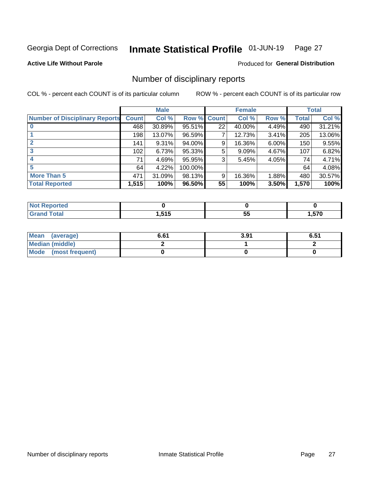#### Inmate Statistical Profile 01-JUN-19 Page 27

**Active Life Without Parole** 

Produced for General Distribution

## Number of disciplinary reports

COL % - percent each COUNT is of its particular column

|                                       | <b>Male</b>  |        |             |    | <b>Female</b> | <b>Total</b> |       |        |
|---------------------------------------|--------------|--------|-------------|----|---------------|--------------|-------|--------|
| <b>Number of Disciplinary Reports</b> | <b>Count</b> | Col %  | Row % Count |    | Col %         | Row %        | Total | Col %  |
|                                       | 468          | 30.89% | 95.51%      | 22 | 40.00%        | 4.49%        | 490   | 31.21% |
|                                       | 198          | 13.07% | 96.59%      |    | 12.73%        | 3.41%        | 205   | 13.06% |
|                                       | 141          | 9.31%  | 94.00%      | 9  | 16.36%        | 6.00%        | 150   | 9.55%  |
| 3                                     | 102          | 6.73%  | 95.33%      | 5  | 9.09%         | 4.67%        | 107   | 6.82%  |
|                                       | 71           | 4.69%  | 95.95%      | 3  | 5.45%         | 4.05%        | 74    | 4.71%  |
| 5                                     | 64           | 4.22%  | 100.00%     |    |               |              | 64    | 4.08%  |
| <b>More Than 5</b>                    | 471          | 31.09% | 98.13%      | 9  | 16.36%        | 1.88%        | 480   | 30.57% |
| <b>Total Reported</b>                 | 1,515        | 100%   | 96.50%      | 55 | 100%          | 3.50%        | 1,570 | 100%   |

| тео<br>NG    |              |    |       |
|--------------|--------------|----|-------|
| <b>Total</b> | 515<br>טו ט. | JJ | 570،، |

| Mean (average)         | 6.61 | 3.91 | 6.51 |
|------------------------|------|------|------|
| <b>Median (middle)</b> |      |      |      |
| Mode (most frequent)   |      |      |      |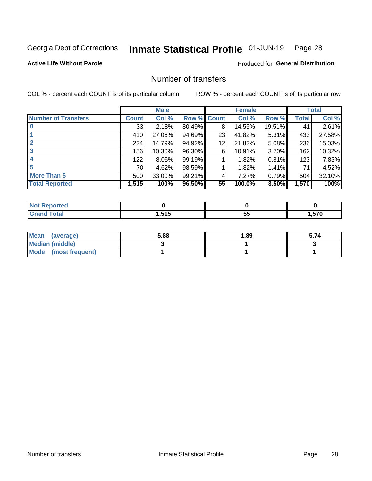#### Inmate Statistical Profile 01-JUN-19 Page 28

**Active Life Without Parole** 

Produced for General Distribution

# Number of transfers

COL % - percent each COUNT is of its particular column

|                            |       | <b>Male</b> |                    |    | <b>Female</b> |        |              | <b>Total</b> |
|----------------------------|-------|-------------|--------------------|----|---------------|--------|--------------|--------------|
| <b>Number of Transfers</b> | Count | Col %       | <b>Row % Count</b> |    | Col %         | Row %  | <b>Total</b> | Col %        |
|                            | 33    | 2.18%       | 80.49%             | 8  | 14.55%        | 19.51% | 41           | 2.61%        |
|                            | 410   | 27.06%      | 94.69%             | 23 | 41.82%        | 5.31%  | 433          | 27.58%       |
| $\mathbf{2}$               | 224   | 14.79%      | 94.92%             | 12 | 21.82%        | 5.08%  | 236          | 15.03%       |
| 3                          | 156   | 10.30%      | 96.30%             | 6  | 10.91%        | 3.70%  | 162          | 10.32%       |
|                            | 122   | 8.05%       | 99.19%             |    | 1.82%         | 0.81%  | 123          | 7.83%        |
| 5                          | 70    | 4.62%       | 98.59%             |    | 1.82%         | 1.41%  | 71           | 4.52%        |
| <b>More Than 5</b>         | 500   | 33.00%      | 99.21%             | 4  | 7.27%         | 0.79%  | 504          | 32.10%       |
| <b>Total Reported</b>      | 1,515 | 100%        | 96.50%             | 55 | 100.0%        | 3.50%  | 1,570        | 100%         |

| <u>ortea</u><br>NO |                   |         |       |
|--------------------|-------------------|---------|-------|
| <b>otal</b>        | <b>646</b><br>. . | --<br>w | .570، |

| Mean (average)       | 5.88 | 1.89 | 5.74 |
|----------------------|------|------|------|
| Median (middle)      |      |      |      |
| Mode (most frequent) |      |      |      |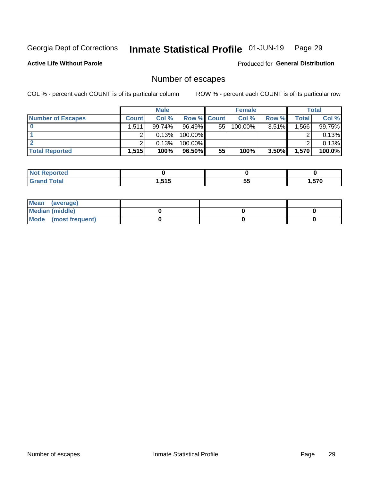#### Inmate Statistical Profile 01-JUN-19 Page 29

**Active Life Without Parole** 

Produced for General Distribution

# Number of escapes

COL % - percent each COUNT is of its particular column

|                          | <b>Male</b>  |        |                    | <b>Female</b> |         |          | Total |        |
|--------------------------|--------------|--------|--------------------|---------------|---------|----------|-------|--------|
| <b>Number of Escapes</b> | <b>Count</b> | Col %  | <b>Row % Count</b> |               | Col %   | Row %    | Total | Col %  |
|                          | 1,511        | 99.74% | $96.49\%$          | 55            | 100.00% | $3.51\%$ | .566  | 99.75% |
|                          |              | 0.13%  | 100.00%            |               |         |          |       | 0.13%  |
|                          |              | 0.13%  | $100.00\%$         |               |         |          |       | 0.13%  |
| <b>Total Reported</b>    | 1.515        | 100%   | 96.50%             | 55            | 100%    | $3.50\%$ | 1,570 | 100.0% |

| rtea<br>NO:                          |              |               |              |
|--------------------------------------|--------------|---------------|--------------|
| $T \sim$ fol<br>Grand<br><b>Oldi</b> | 515<br>טו ט. | --<br>F.<br>◡ | 570<br>י כ.י |

| Mean (average)         |  |  |
|------------------------|--|--|
| <b>Median (middle)</b> |  |  |
| Mode (most frequent)   |  |  |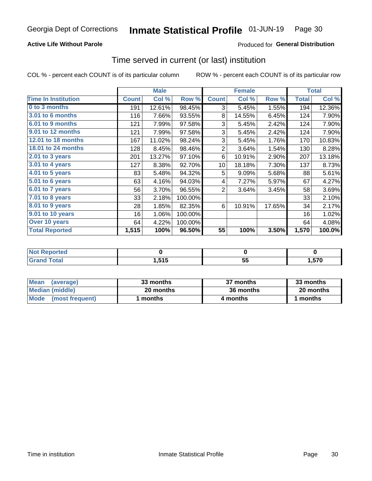### **Active Life Without Parole**

### **Produced for General Distribution**

### Time served in current (or last) institution

COL % - percent each COUNT is of its particular column

|                            |              | <b>Male</b> |         |                | <b>Female</b> |        |              | <b>Total</b> |
|----------------------------|--------------|-------------|---------|----------------|---------------|--------|--------------|--------------|
| <b>Time In Institution</b> | <b>Count</b> | Col %       | Row %   | <b>Count</b>   | Col %         | Row %  | <b>Total</b> | Col %        |
| 0 to 3 months              | 191          | 12.61%      | 98.45%  | 3              | 5.45%         | 1.55%  | 194          | 12.36%       |
| <b>3.01 to 6 months</b>    | 116          | 7.66%       | 93.55%  | 8              | 14.55%        | 6.45%  | 124          | 7.90%        |
| 6.01 to 9 months           | 121          | 7.99%       | 97.58%  | 3              | 5.45%         | 2.42%  | 124          | 7.90%        |
| 9.01 to 12 months          | 121          | 7.99%       | 97.58%  | 3              | 5.45%         | 2.42%  | 124          | 7.90%        |
| <b>12.01 to 18 months</b>  | 167          | 11.02%      | 98.24%  | 3              | 5.45%         | 1.76%  | 170          | 10.83%       |
| <b>18.01 to 24 months</b>  | 128          | 8.45%       | 98.46%  | $\overline{2}$ | 3.64%         | 1.54%  | 130          | 8.28%        |
| $2.01$ to 3 years          | 201          | 13.27%      | 97.10%  | 6              | 10.91%        | 2.90%  | 207          | 13.18%       |
| 3.01 to 4 years            | 127          | 8.38%       | 92.70%  | 10             | 18.18%        | 7.30%  | 137          | 8.73%        |
| 4.01 to 5 years            | 83           | 5.48%       | 94.32%  | 5              | 9.09%         | 5.68%  | 88           | 5.61%        |
| 5.01 to 6 years            | 63           | 4.16%       | 94.03%  | 4              | 7.27%         | 5.97%  | 67           | 4.27%        |
| 6.01 to 7 years            | 56           | 3.70%       | 96.55%  | $\overline{2}$ | 3.64%         | 3.45%  | 58           | 3.69%        |
| $7.01$ to 8 years          | 33           | 2.18%       | 100.00% |                |               |        | 33           | 2.10%        |
| 8.01 to 9 years            | 28           | 1.85%       | 82.35%  | 6              | 10.91%        | 17.65% | 34           | 2.17%        |
| 9.01 to 10 years           | 16           | 1.06%       | 100.00% |                |               |        | 16           | 1.02%        |
| Over 10 years              | 64           | 4.22%       | 100.00% |                |               |        | 64           | 4.08%        |
| <b>Total Reported</b>      | 1,515        | 100%        | 96.50%  | 55             | 100%          | 3.50%  | 1,570        | 100.0%       |

| <b>Not Reported</b> |                 |           |      |
|---------------------|-----------------|-----------|------|
| Tota <sup>l</sup>   | 515<br>I .J I J | . .<br>JJ | ,570 |

| <b>Mean</b><br>(average) | 33 months | 37 months | 33 months |
|--------------------------|-----------|-----------|-----------|
| Median (middle)          | 20 months | 36 months | 20 months |
| Mode (most frequent)     | months    | 4 months  | 1 months  |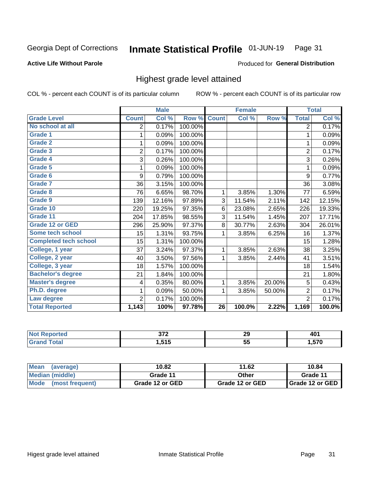#### Inmate Statistical Profile 01-JUN-19 Page 31

#### **Active Life Without Parole**

#### Produced for General Distribution

## Highest grade level attained

COL % - percent each COUNT is of its particular column

|                              |                | <b>Male</b> |         |                 | <b>Female</b> |        |                | <b>Total</b> |
|------------------------------|----------------|-------------|---------|-----------------|---------------|--------|----------------|--------------|
| <b>Grade Level</b>           | <b>Count</b>   | Col %       | Row %   | <b>Count</b>    | Col %         | Row %  | <b>Total</b>   | Col %        |
| No school at all             | 2              | 0.17%       | 100.00% |                 |               |        | $\overline{2}$ | 0.17%        |
| <b>Grade 1</b>               | 1              | 0.09%       | 100.00% |                 |               |        | 1              | 0.09%        |
| <b>Grade 2</b>               | 1              | 0.09%       | 100.00% |                 |               |        | 1              | 0.09%        |
| <b>Grade 3</b>               | $\overline{2}$ | 0.17%       | 100.00% |                 |               |        | $\overline{2}$ | 0.17%        |
| <b>Grade 4</b>               | 3              | 0.26%       | 100.00% |                 |               |        | 3              | 0.26%        |
| Grade 5                      | 1              | 0.09%       | 100.00% |                 |               |        | 1              | 0.09%        |
| Grade 6                      | 9              | 0.79%       | 100.00% |                 |               |        | 9              | 0.77%        |
| Grade 7                      | 36             | 3.15%       | 100.00% |                 |               |        | 36             | 3.08%        |
| Grade 8                      | 76             | 6.65%       | 98.70%  | 1               | 3.85%         | 1.30%  | 77             | 6.59%        |
| Grade 9                      | 139            | 12.16%      | 97.89%  | 3               | 11.54%        | 2.11%  | 142            | 12.15%       |
| Grade 10                     | 220            | 19.25%      | 97.35%  | 6               | 23.08%        | 2.65%  | 226            | 19.33%       |
| Grade 11                     | 204            | 17.85%      | 98.55%  | 3               | 11.54%        | 1.45%  | 207            | 17.71%       |
| <b>Grade 12 or GED</b>       | 296            | 25.90%      | 97.37%  | 8               | 30.77%        | 2.63%  | 304            | 26.01%       |
| Some tech school             | 15             | 1.31%       | 93.75%  | 1               | 3.85%         | 6.25%  | 16             | 1.37%        |
| <b>Completed tech school</b> | 15             | 1.31%       | 100.00% |                 |               |        | 15             | 1.28%        |
| College, 1 year              | 37             | 3.24%       | 97.37%  | 1               | 3.85%         | 2.63%  | 38             | 3.25%        |
| College, 2 year              | 40             | 3.50%       | 97.56%  | 1               | 3.85%         | 2.44%  | 41             | 3.51%        |
| College, 3 year              | 18             | 1.57%       | 100.00% |                 |               |        | 18             | 1.54%        |
| <b>Bachelor's degree</b>     | 21             | 1.84%       | 100.00% |                 |               |        | 21             | 1.80%        |
| <b>Master's degree</b>       | 4              | 0.35%       | 80.00%  | 1               | 3.85%         | 20.00% | 5              | 0.43%        |
| Ph.D. degree                 | 1              | 0.09%       | 50.00%  | 1               | 3.85%         | 50.00% | $\overline{2}$ | 0.17%        |
| Law degree                   | $\overline{2}$ | 0.17%       | 100.00% |                 |               |        | $\overline{2}$ | 0.17%        |
| <b>Total Reported</b>        | 1,143          | 100%        | 97.78%  | $\overline{26}$ | 100.0%        | 2.22%  | 1,169          | 100.0%       |

| rtec | ^70           | 29  | $\ddot{\phantom{1}}$ |
|------|---------------|-----|----------------------|
| NG   |               |     | 44                   |
| υιαι | 515<br>טו ט.ו | ູບພ | ,570                 |

| <b>Mean</b><br>(average) | 10.82           | 11.62           | 10.84           |
|--------------------------|-----------------|-----------------|-----------------|
| <b>Median (middle)</b>   | Grade 11        | Other           | Grade 11        |
| Mode<br>(most frequent)  | Grade 12 or GED | Grade 12 or GED | Grade 12 or GED |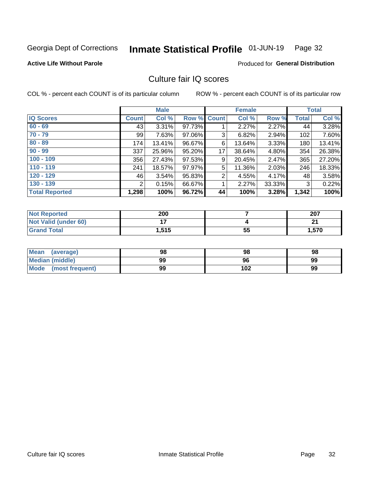#### Inmate Statistical Profile 01-JUN-19 Page 32

### **Active Life Without Parole**

#### Produced for General Distribution

# Culture fair IQ scores

COL % - percent each COUNT is of its particular column

|                       |              | <b>Male</b> |                    |                | <b>Female</b> |          |              | <b>Total</b> |
|-----------------------|--------------|-------------|--------------------|----------------|---------------|----------|--------------|--------------|
| <b>IQ Scores</b>      | <b>Count</b> | Col %       | <b>Row % Count</b> |                | Col %         | Row %    | <b>Total</b> | Col %        |
| $60 - 69$             | 43           | $3.31\%$    | 97.73%             |                | 2.27%         | 2.27%    | 44           | 3.28%        |
| $70 - 79$             | 99           | 7.63%       | 97.06%             | 3              | 6.82%         | 2.94%    | 102          | 7.60%        |
| $80 - 89$             | 174          | 13.41%      | 96.67%             | 6              | 13.64%        | 3.33%    | 180          | 13.41%       |
| $90 - 99$             | 337          | 25.96%      | 95.20%             | 17             | 38.64%        | 4.80%    | 354          | 26.38%       |
| $100 - 109$           | 356          | 27.43%      | 97.53%             | 9              | 20.45%        | $2.47\%$ | 365          | 27.20%       |
| $110 - 119$           | 241          | 18.57%      | 97.97%             | 5              | 11.36%        | 2.03%    | 246          | 18.33%       |
| $120 - 129$           | 46           | 3.54%       | 95.83%             | $\overline{2}$ | 4.55%         | 4.17%    | 48           | 3.58%        |
| $130 - 139$           | 2            | 0.15%       | 66.67%             | 1              | 2.27%         | 33.33%   | 3            | 0.22%        |
| <b>Total Reported</b> | 1,298        | 100%        | 96.72%             | 44             | 100%          | 3.28%    | 1,342        | 100%         |

| <b>Not Reported</b>         | 200   |    | 207    |
|-----------------------------|-------|----|--------|
| <b>Not Valid (under 60)</b> |       |    | $\sim$ |
| <b>Grand Total</b>          | 1,515 | 55 | 1,570  |

| <b>Mean</b><br>(average) | 98 | 98  | 98 |
|--------------------------|----|-----|----|
| Median (middle)          | 99 | 96  | 99 |
| Mode (most frequent)     | 99 | 102 | 99 |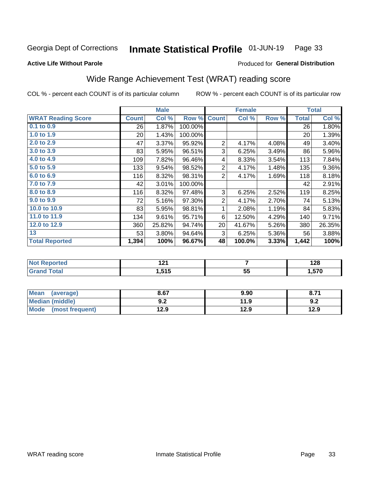#### Inmate Statistical Profile 01-JUN-19 Page 33

Produced for General Distribution

#### **Active Life Without Parole**

# Wide Range Achievement Test (WRAT) reading score

COL % - percent each COUNT is of its particular column

|                           |              | <b>Male</b> |         | <b>Female</b>  |        |       | <b>Total</b> |        |
|---------------------------|--------------|-------------|---------|----------------|--------|-------|--------------|--------|
| <b>WRAT Reading Score</b> | <b>Count</b> | Col %       | Row %   | <b>Count</b>   | Col %  | Row % | <b>Total</b> | Col %  |
| 0.1 to 0.9                | 26           | 1.87%       | 100.00% |                |        |       | 26           | 1.80%  |
| 1.0 to 1.9                | 20           | 1.43%       | 100.00% |                |        |       | 20           | 1.39%  |
| 2.0 to 2.9                | 47           | 3.37%       | 95.92%  | $\overline{2}$ | 4.17%  | 4.08% | 49           | 3.40%  |
| 3.0 to 3.9                | 83           | 5.95%       | 96.51%  | 3              | 6.25%  | 3.49% | 86           | 5.96%  |
| 4.0 to 4.9                | 109          | 7.82%       | 96.46%  | 4              | 8.33%  | 3.54% | 113          | 7.84%  |
| 5.0 to 5.9                | 133          | 9.54%       | 98.52%  | $\overline{2}$ | 4.17%  | 1.48% | 135          | 9.36%  |
| 6.0 to 6.9                | 116          | 8.32%       | 98.31%  | $\overline{2}$ | 4.17%  | 1.69% | 118          | 8.18%  |
| 7.0 to 7.9                | 42           | 3.01%       | 100.00% |                |        |       | 42           | 2.91%  |
| 8.0 to 8.9                | 116          | 8.32%       | 97.48%  | 3              | 6.25%  | 2.52% | 119          | 8.25%  |
| 9.0 to 9.9                | 72           | 5.16%       | 97.30%  | $\overline{2}$ | 4.17%  | 2.70% | 74           | 5.13%  |
| 10.0 to 10.9              | 83           | 5.95%       | 98.81%  | 1              | 2.08%  | 1.19% | 84           | 5.83%  |
| 11.0 to 11.9              | 134          | 9.61%       | 95.71%  | 6              | 12.50% | 4.29% | 140          | 9.71%  |
| 12.0 to 12.9              | 360          | 25.82%      | 94.74%  | 20             | 41.67% | 5.26% | 380          | 26.35% |
| 13                        | 53           | 3.80%       | 94.64%  | 3              | 6.25%  | 5.36% | 56           | 3.88%  |
| <b>Total Reported</b>     | 1,394        | 100%        | 96.67%  | 48             | 100.0% | 3.33% | 1,442        | 100%   |
|                           |              |             |         |                |        |       |              |        |
| Not Reported              |              | 121         |         |                | 7      |       |              | 128    |

| <b>INOL REPORTED</b> | 14 L                |    | 14O   |
|----------------------|---------------------|----|-------|
| <b>otal</b>          | <b>545</b><br>1.JIJ | 55 | 570،، |
|                      |                     |    |       |

| <b>Mean</b><br>(average) | 8.67       | 9.90 | O.1. |
|--------------------------|------------|------|------|
| <b>Median (middle)</b>   | פ ח<br>Y.Z | 11.9 | 9.2  |
| Mode<br>(most frequent)  | 12.9       | 12.9 | 12.9 |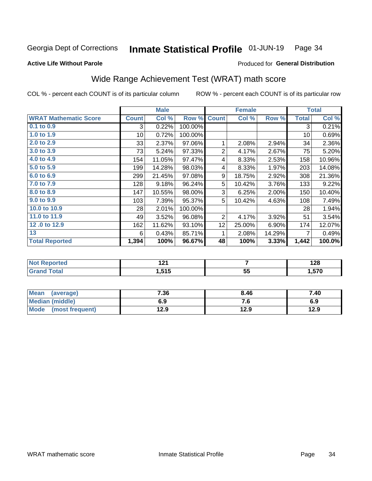#### Inmate Statistical Profile 01-JUN-19 Page 34

**Active Life Without Parole** 

#### Produced for General Distribution

# Wide Range Achievement Test (WRAT) math score

COL % - percent each COUNT is of its particular column

|                              |                 | <b>Male</b> |         |                 | <b>Female</b> |        |              | <b>Total</b> |
|------------------------------|-----------------|-------------|---------|-----------------|---------------|--------|--------------|--------------|
| <b>WRAT Mathematic Score</b> | <b>Count</b>    | Col %       | Row %   | <b>Count</b>    | Col %         | Row %  | <b>Total</b> | Col %        |
| 0.1 to 0.9                   | 3               | 0.22%       | 100.00% |                 |               |        | 3            | 0.21%        |
| 1.0 to 1.9                   | 10 <sup>1</sup> | 0.72%       | 100.00% |                 |               |        | 10           | 0.69%        |
| 2.0 to 2.9                   | 33              | 2.37%       | 97.06%  | 1               | 2.08%         | 2.94%  | 34           | 2.36%        |
| 3.0 to 3.9                   | 73              | 5.24%       | 97.33%  | 2               | 4.17%         | 2.67%  | 75           | 5.20%        |
| 4.0 to 4.9                   | 154             | 11.05%      | 97.47%  | 4               | 8.33%         | 2.53%  | 158          | 10.96%       |
| 5.0 to 5.9                   | 199             | 14.28%      | 98.03%  | 4               | 8.33%         | 1.97%  | 203          | 14.08%       |
| 6.0 to 6.9                   | 299             | 21.45%      | 97.08%  | 9               | 18.75%        | 2.92%  | 308          | 21.36%       |
| 7.0 to 7.9                   | 128             | 9.18%       | 96.24%  | 5               | 10.42%        | 3.76%  | 133          | 9.22%        |
| 8.0 to 8.9                   | 147             | 10.55%      | 98.00%  | 3               | 6.25%         | 2.00%  | 150          | 10.40%       |
| 9.0 to 9.9                   | 103             | 7.39%       | 95.37%  | 5               | 10.42%        | 4.63%  | 108          | 7.49%        |
| 10.0 to 10.9                 | 28              | 2.01%       | 100.00% |                 |               |        | 28           | 1.94%        |
| 11.0 to 11.9                 | 49              | 3.52%       | 96.08%  | $\overline{2}$  | 4.17%         | 3.92%  | 51           | 3.54%        |
| 12.0 to 12.9                 | 162             | 11.62%      | 93.10%  | 12 <sub>2</sub> | 25.00%        | 6.90%  | 174          | 12.07%       |
| 13                           | 6               | 0.43%       | 85.71%  | 1               | 2.08%         | 14.29% | 7            | 0.49%        |
| <b>Total Reported</b>        | 1,394           | 100%        | 96.67%  | 48              | 100%          | 3.33%  | 1,442        | 100.0%       |

| <b>Not Reported</b>    | גר ו<br>14 I |           | 190<br>1 Z O |
|------------------------|--------------|-----------|--------------|
| <b>Total</b><br>'Grand | 1,515        | --<br>. ს | 570, ا       |

| <b>Mean</b><br>(average)       | 7.36 | 8.46 | 7.40 |
|--------------------------------|------|------|------|
| Median (middle)                | 6.9  | 7. U | 6.9  |
| <b>Mode</b><br>(most frequent) | 12.9 | 12.9 | 12.9 |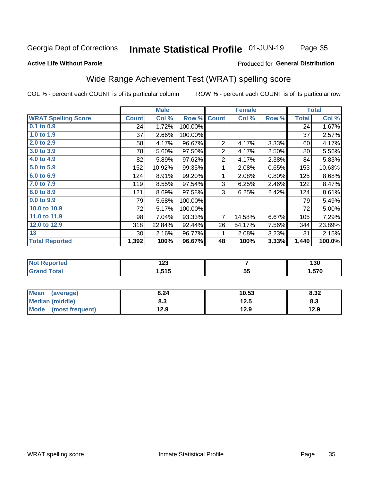#### Inmate Statistical Profile 01-JUN-19 Page 35

### **Active Life Without Parole**

#### Produced for General Distribution

# Wide Range Achievement Test (WRAT) spelling score

COL % - percent each COUNT is of its particular column

|                            |              | <b>Male</b> |         |                | <b>Female</b>  |       |              | <b>Total</b> |
|----------------------------|--------------|-------------|---------|----------------|----------------|-------|--------------|--------------|
| <b>WRAT Spelling Score</b> | <b>Count</b> | Col %       | Row %   | <b>Count</b>   | Col %          | Row % | <b>Total</b> | Col %        |
| 0.1 to 0.9                 | 24           | 1.72%       | 100.00% |                |                |       | 24           | 1.67%        |
| 1.0 to 1.9                 | 37           | 2.66%       | 100.00% |                |                |       | 37           | 2.57%        |
| 2.0 to 2.9                 | 58           | 4.17%       | 96.67%  | $\overline{2}$ | 4.17%          | 3.33% | 60           | 4.17%        |
| 3.0 to 3.9                 | 78           | 5.60%       | 97.50%  | $\overline{2}$ | 4.17%          | 2.50% | 80           | 5.56%        |
| 4.0 to 4.9                 | 82           | 5.89%       | 97.62%  | $\overline{2}$ | 4.17%          | 2.38% | 84           | 5.83%        |
| 5.0 to 5.9                 | 152          | 10.92%      | 99.35%  | 1              | 2.08%          | 0.65% | 153          | 10.63%       |
| 6.0 to 6.9                 | 124          | 8.91%       | 99.20%  | 1              | 2.08%          | 0.80% | 125          | 8.68%        |
| 7.0 to 7.9                 | 119          | 8.55%       | 97.54%  | 3              | 6.25%          | 2.46% | 122          | 8.47%        |
| 8.0 to 8.9                 | 121          | 8.69%       | 97.58%  | 3              | 6.25%          | 2.42% | 124          | 8.61%        |
| 9.0 to 9.9                 | 79           | 5.68%       | 100.00% |                |                |       | 79           | 5.49%        |
| 10.0 to 10.9               | 72           | 5.17%       | 100.00% |                |                |       | 72           | 5.00%        |
| 11.0 to 11.9               | 98           | 7.04%       | 93.33%  | $\overline{7}$ | 14.58%         | 6.67% | 105          | 7.29%        |
| 12.0 to 12.9               | 318          | 22.84%      | 92.44%  | 26             | 54.17%         | 7.56% | 344          | 23.89%       |
| 13                         | 30           | 2.16%       | 96.77%  | 1              | 2.08%          | 3.23% | 31           | 2.15%        |
| <b>Total Reported</b>      | 1,392        | 100%        | 96.67%  | 48             | 100%           | 3.33% | 1,440        | 100.0%       |
|                            |              |             |         |                |                |       |              |              |
| <b>Not Reported</b>        |              | 123         |         |                | $\overline{7}$ |       |              | 130          |
| <b>Grand Total</b>         |              | 1,515       |         |                | 55             |       |              | 1,570        |

| <b>Mean</b><br>(average)       | 8.24 | 10.53 | 8.32 |
|--------------------------------|------|-------|------|
| <b>Median (middle)</b>         | o.J  | 12.5  | ი.ა  |
| <b>Mode</b><br>(most frequent) | 12.9 | 12.9  | 12.9 |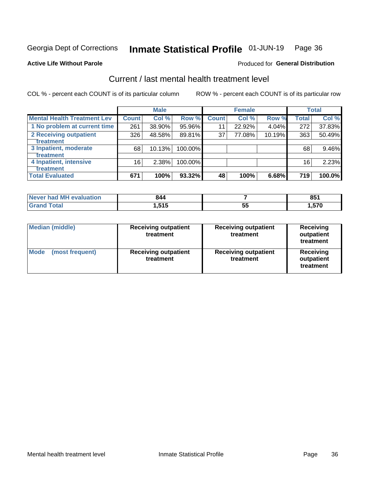#### Inmate Statistical Profile 01-JUN-19 Page 36

#### **Active Life Without Parole**

### **Produced for General Distribution**

# Current / last mental health treatment level

COL % - percent each COUNT is of its particular column

|                                    |              | <b>Male</b> |         |              | <b>Female</b> |        |                 | <b>Total</b> |
|------------------------------------|--------------|-------------|---------|--------------|---------------|--------|-----------------|--------------|
| <b>Mental Health Treatment Lev</b> | <b>Count</b> | Col %       | Row %   | <b>Count</b> | Col %         | Row %  | <b>Total</b>    | Col %        |
| 1 No problem at current time       | 261          | 38.90%      | 95.96%  | 11           | 22.92%        | 4.04%  | 272             | 37.83%       |
| 2 Receiving outpatient             | 326          | 48.58%      | 89.81%  | 37           | 77.08%        | 10.19% | 363             | 50.49%       |
| <b>Treatment</b>                   |              |             |         |              |               |        |                 |              |
| 3 Inpatient, moderate              | 68           | 10.13%      | 100.00% |              |               |        | 68              | 9.46%        |
| <b>Treatment</b>                   |              |             |         |              |               |        |                 |              |
| 4 Inpatient, intensive             | 16           | 2.38%       | 100.00% |              |               |        | 16 <sub>1</sub> | 2.23%        |
| Treatment                          |              |             |         |              |               |        |                 |              |
| <b>Total Evaluated</b>             | 671          | 100%        | 93.32%  | 48           | 100%          | 6.68%  | 719             | 100.0%       |

| Never had MH evaluation | 844   |    | OE.<br>υJ |
|-------------------------|-------|----|-----------|
| Total                   | 1,515 | vu | ,570      |

| <b>Median (middle)</b>         | <b>Receiving outpatient</b><br>treatment | <b>Receiving outpatient</b><br>treatment | <b>Receiving</b><br>outpatient<br>treatment |  |
|--------------------------------|------------------------------------------|------------------------------------------|---------------------------------------------|--|
| <b>Mode</b><br>(most frequent) | <b>Receiving outpatient</b><br>treatment | <b>Receiving outpatient</b><br>treatment | <b>Receiving</b><br>outpatient<br>treatment |  |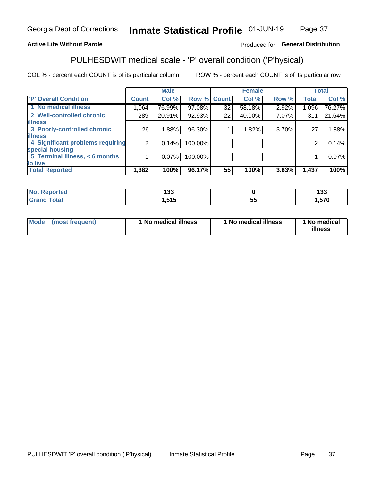#### Inmate Statistical Profile 01-JUN-19 Page 37

### **Active Life Without Parole**

### Produced for General Distribution

# PULHESDWIT medical scale - 'P' overall condition ('P'hysical)

COL % - percent each COUNT is of its particular column

|                                  |                | <b>Male</b> |         |             | <b>Female</b> |       |              | <b>Total</b> |
|----------------------------------|----------------|-------------|---------|-------------|---------------|-------|--------------|--------------|
| 'P' Overall Condition            | <b>Count</b>   | Col %       |         | Row % Count | Col %         | Row % | <b>Total</b> | Col %        |
| 1 No medical illness             | 1,064          | 76.99%      | 97.08%  | 32          | 58.18%        | 2.92% | 1,096        | 76.27%       |
| 2 Well-controlled chronic        | 289            | 20.91%      | 92.93%  | 22          | 40.00%        | 7.07% | 311          | 21.64%       |
| <b>illness</b>                   |                |             |         |             |               |       |              |              |
| 3 Poorly-controlled chronic      | 26             | 1.88%       | 96.30%  |             | 1.82%         | 3.70% | 27           | 1.88%        |
| <b>illness</b>                   |                |             |         |             |               |       |              |              |
| 4 Significant problems requiring | 2 <sub>1</sub> | 0.14%       | 100.00% |             |               |       | 2            | 0.14%        |
| special housing                  |                |             |         |             |               |       |              |              |
| 5 Terminal illness, $<$ 6 months |                | $0.07\%$    | 100.00% |             |               |       |              | 0.07%        |
| to live                          |                |             |         |             |               |       |              |              |
| <b>Total Reported</b>            | 1,382          | 100%        | 96.17%  | 55          | 100%          | 3.83% | 1,437        | 100%         |

| rtea   | ,,,        |    | 400 |
|--------|------------|----|-----|
|        | נט ו       |    | טטו |
| $-4-$  | <b>545</b> | JJ | 570 |
| ______ | נו כ, ו    |    | .   |

| Mode (most frequent) | 1 No medical illness | 1 No medical illness | 1 No medical<br>illness |
|----------------------|----------------------|----------------------|-------------------------|
|                      |                      |                      |                         |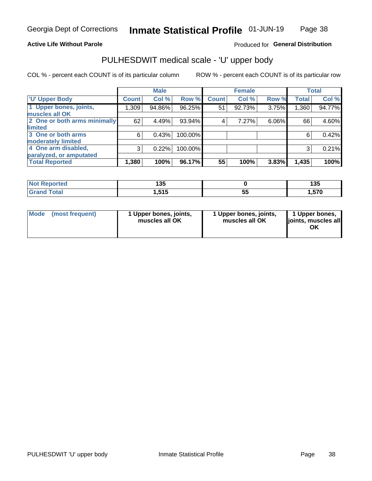### **Active Life Without Parole**

### Produced for General Distribution

# PULHESDWIT medical scale - 'U' upper body

COL % - percent each COUNT is of its particular column

|                              |                    | <b>Male</b> |         |              | <b>Female</b> |       |              | <b>Total</b> |
|------------------------------|--------------------|-------------|---------|--------------|---------------|-------|--------------|--------------|
| <b>'U' Upper Body</b>        | Count <sup>!</sup> | Col %       | Row %   | <b>Count</b> | Col %         | Row % | <b>Total</b> | Col %        |
| 1 Upper bones, joints,       | 1,309              | 94.86%      | 96.25%  | 51           | 92.73%        | 3.75% | 1,360        | 94.77%       |
| muscles all OK               |                    |             |         |              |               |       |              |              |
| 2 One or both arms minimally | 62                 | 4.49%       | 93.94%  | 4            | 7.27%         | 6.06% | 66           | 4.60%        |
| limited                      |                    |             |         |              |               |       |              |              |
| 3 One or both arms           | 6                  | 0.43%       | 100.00% |              |               |       | 6            | 0.42%        |
| moderately limited           |                    |             |         |              |               |       |              |              |
| 4 One arm disabled,          | 3                  | 0.22%       | 100.00% |              |               |       | 3            | 0.21%        |
| paralyzed, or amputated      |                    |             |         |              |               |       |              |              |
| <b>Total Reported</b>        | 1,380              | 100%        | 96.17%  | 55           | 100%          | 3.83% | 1,435        | 100%         |

| <b>Not Reported</b> | 125<br>יי |          | <b>49F</b><br>טטו |
|---------------------|-----------|----------|-------------------|
| <b>Grand Total</b>  | 515<br>.  | --<br>vu | .570              |

| <b>Mode</b> | (most frequent) | l Upper bones, joints,<br>muscles all OK | 1 Upper bones, joints,<br>muscles all OK | 1 Upper bones,<br>ljoints, muscles all |
|-------------|-----------------|------------------------------------------|------------------------------------------|----------------------------------------|
|-------------|-----------------|------------------------------------------|------------------------------------------|----------------------------------------|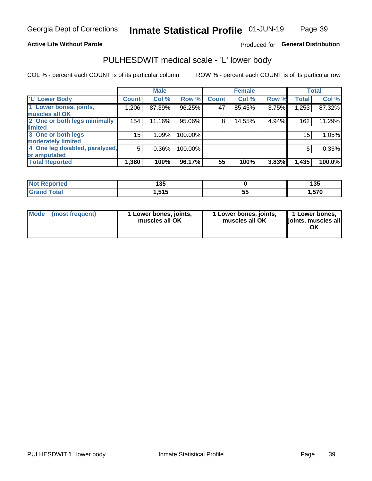### **Active Life Without Parole**

### Produced for General Distribution

# PULHESDWIT medical scale - 'L' lower body

COL % - percent each COUNT is of its particular column

|                                |                 | <b>Male</b> |         |              | <b>Female</b> |       |                 | <b>Total</b> |
|--------------------------------|-----------------|-------------|---------|--------------|---------------|-------|-----------------|--------------|
| 'L' Lower Body                 | <b>Count</b>    | Col %       | Row %   | <b>Count</b> | Col %         | Row % | <b>Total</b>    | Col %        |
| 1 Lower bones, joints,         | 1,206           | 87.39%      | 96.25%  | 47           | 85.45%        | 3.75% | 1,253           | 87.32%       |
| muscles all OK                 |                 |             |         |              |               |       |                 |              |
| 2 One or both legs minimally   | 154             | 11.16%      | 95.06%  | 8            | 14.55%        | 4.94% | 162             | 11.29%       |
| limited                        |                 |             |         |              |               |       |                 |              |
| 3 One or both legs             | 15 <sub>2</sub> | 1.09%       | 100.00% |              |               |       | 15 <sub>1</sub> | 1.05%        |
| moderately limited             |                 |             |         |              |               |       |                 |              |
| 4 One leg disabled, paralyzed, | 5               | 0.36%       | 100.00% |              |               |       | 5               | 0.35%        |
| or amputated                   |                 |             |         |              |               |       |                 |              |
| <b>Total Reported</b>          | 1,380           | 100%        | 96.17%  | 55           | 100%          | 3.83% | 1,435           | 100.0%       |

| <b>Not Reported</b> | ィクに<br>טטו      |    | 4 O.F<br>135         |
|---------------------|-----------------|----|----------------------|
| <b>Grand Total</b>  | 515<br>G I G, I | ວະ | 570<br>ט <i>ו</i> כ. |

| Mode | (most frequent) | 1 Lower bones, joints,<br>muscles all OK | 1 Lower bones, joints,<br>muscles all OK | 1 Lower bones,<br>ljoints, muscles all<br>ОK |
|------|-----------------|------------------------------------------|------------------------------------------|----------------------------------------------|
|------|-----------------|------------------------------------------|------------------------------------------|----------------------------------------------|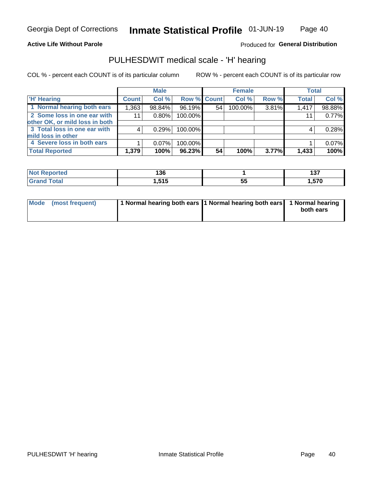#### **Active Life Without Parole**

Produced for General Distribution

### PULHESDWIT medical scale - 'H' hearing

COL % - percent each COUNT is of its particular column

|                                |              | <b>Male</b> |                    |    | <b>Female</b> |       | <b>Total</b> |        |
|--------------------------------|--------------|-------------|--------------------|----|---------------|-------|--------------|--------|
| <b>H' Hearing</b>              | <b>Count</b> | Col %       | <b>Row % Count</b> |    | Col %         | Row % | <b>Total</b> | Col %  |
| 1 Normal hearing both ears     | 1,363        | 98.84%      | 96.19%             | 54 | 100.00%       | 3.81% | 1,417        | 98.88% |
| 2 Some loss in one ear with    | 11           | 0.80%       | 100.00%            |    |               |       | 11           | 0.77%  |
| other OK, or mild loss in both |              |             |                    |    |               |       |              |        |
| 3 Total loss in one ear with   | 4            | 0.29%       | 100.00%            |    |               |       | 4            | 0.28%  |
| mild loss in other             |              |             |                    |    |               |       |              |        |
| 4 Severe loss in both ears     |              | $0.07\%$    | 100.00%            |    |               |       |              | 0.07%  |
| <b>Total Reported</b>          | 1,379        | 100%        | 96.23%             | 54 | 100%          | 3.77% | 1,433        | 100%   |

| ported          |                     |    | ィっフ   |
|-----------------|---------------------|----|-------|
| NO1             | l 30                |    | 1 J I |
| $n+n$<br>______ | <b>EAE</b><br>ں ر ب | Ju | 570،، |

| Mode (most frequent) | 1 Normal hearing both ears 1 Normal hearing both ears 1 Normal hearing | both ears |
|----------------------|------------------------------------------------------------------------|-----------|
|                      |                                                                        |           |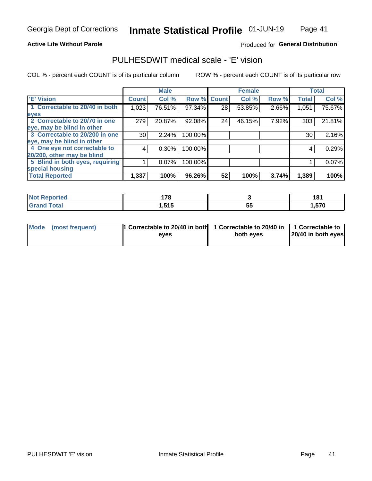#### **Active Life Without Parole**

### Produced for General Distribution

# PULHESDWIT medical scale - 'E' vision

COL % - percent each COUNT is of its particular column

|                                 |              | <b>Male</b> |         |             | <b>Female</b> |       |              | <b>Total</b> |
|---------------------------------|--------------|-------------|---------|-------------|---------------|-------|--------------|--------------|
| <b>E' Vision</b>                | <b>Count</b> | Col %       |         | Row % Count | Col %         | Row % | <b>Total</b> | Col %        |
| 1 Correctable to 20/40 in both  | 1,023        | 76.51%      | 97.34%  | 28          | 53.85%        | 2.66% | 1,051        | 75.67%       |
| eyes                            |              |             |         |             |               |       |              |              |
| 2 Correctable to 20/70 in one   | 279          | 20.87%      | 92.08%  | 24          | 46.15%        | 7.92% | 303          | 21.81%       |
| eye, may be blind in other      |              |             |         |             |               |       |              |              |
| 3 Correctable to 20/200 in one  | 30           | 2.24%       | 100.00% |             |               |       | 30           | 2.16%        |
| eye, may be blind in other      |              |             |         |             |               |       |              |              |
| 4 One eye not correctable to    | 4            | $0.30\%$    | 100.00% |             |               |       | 4            | 0.29%        |
| 20/200, other may be blind      |              |             |         |             |               |       |              |              |
| 5 Blind in both eyes, requiring |              | 0.07%       | 100.00% |             |               |       |              | 0.07%        |
| special housing                 |              |             |         |             |               |       |              |              |
| <b>Total Reported</b>           | 1,337        | 100%        | 96.26%  | 52          | 100%          | 3.74% | 1,389        | 100%         |

| <b>orted</b> | 470<br>. I O<br>$\sim$ |              | ۰ Ω ا<br>10 |
|--------------|------------------------|--------------|-------------|
| <b>Total</b> | 515<br>U, U U          | --<br><br>v. | .570        |

| Mode (most frequent) | 1 Correctable to 20/40 in both<br>eves | 1 Correctable to 20/40 in   1 Correctable to  <br>both eves | 20/40 in both eyes |
|----------------------|----------------------------------------|-------------------------------------------------------------|--------------------|
|                      |                                        |                                                             |                    |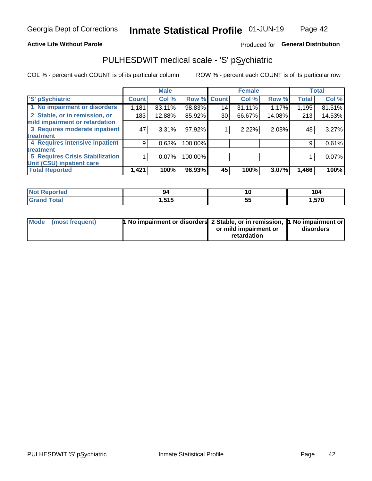### **Active Life Without Parole**

### Produced for General Distribution

# PULHESDWIT medical scale - 'S' pSychiatric

COL % - percent each COUNT is of its particular column

|                                 |              | <b>Male</b> |         |             | <b>Female</b> |        |              | <b>Total</b> |
|---------------------------------|--------------|-------------|---------|-------------|---------------|--------|--------------|--------------|
| 'S' pSychiatric                 | <b>Count</b> | Col %       |         | Row % Count | Col %         | Row %  | <b>Total</b> | Col %        |
| 1 No impairment or disorders    | 1,181        | 83.11%      | 98.83%  | 14          | 31.11%        | 1.17%  | 1,195        | 81.51%       |
| 2 Stable, or in remission, or   | 183          | 12.88%      | 85.92%  | 30          | 66.67%        | 14.08% | 213          | 14.53%       |
| mild impairment or retardation  |              |             |         |             |               |        |              |              |
| 3 Requires moderate inpatient   | 47           | 3.31%       | 97.92%  |             | 2.22%         | 2.08%  | 48           | 3.27%        |
| treatment                       |              |             |         |             |               |        |              |              |
| 4 Requires intensive inpatient  | 9            | 0.63%       | 100.00% |             |               |        | 9            | 0.61%        |
| <b>treatment</b>                |              |             |         |             |               |        |              |              |
| 5 Requires Crisis Stabilization |              | 0.07%       | 100.00% |             |               |        |              | 0.07%        |
| Unit (CSU) inpatient care       |              |             |         |             |               |        |              |              |
| <b>Total Reported</b>           | 1,421        | 100%        | 96.93%  | 45          | 100%          | 3.07%  | 1,466        | 100%         |

| norted<br>NO<br>кемо. |              | 10      | 104   |
|-----------------------|--------------|---------|-------|
| <b>Total</b>          | 515<br>טו טו | --<br>◡ | 1,570 |

| Mode (most frequent) | <b>1 No impairment or disorders</b> 2 Stable, or in remission, 11 No impairment or |                       |           |
|----------------------|------------------------------------------------------------------------------------|-----------------------|-----------|
|                      |                                                                                    | or mild impairment or | disorders |
|                      |                                                                                    | retardation           |           |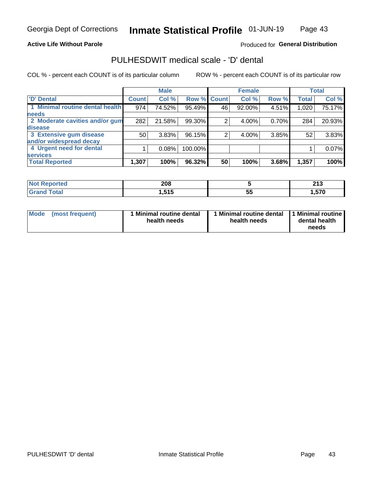### **Active Life Without Parole**

### Produced for General Distribution

# PULHESDWIT medical scale - 'D' dental

COL % - percent each COUNT is of its particular column

|                                 |              | <b>Male</b> |         |              | <b>Female</b> |       |              | <b>Total</b> |
|---------------------------------|--------------|-------------|---------|--------------|---------------|-------|--------------|--------------|
| <b>D'</b> Dental                | <b>Count</b> | Col %       | Row %   | <b>Count</b> | Col %         | Row % | <b>Total</b> | Col %        |
| 1 Minimal routine dental health | 974          | 74.52%      | 95.49%  | 46           | 92.00%        | 4.51% | 1,020        | 75.17%       |
| <b>needs</b>                    |              |             |         |              |               |       |              |              |
| 2 Moderate cavities and/or gum  | 282          | 21.58%      | 99.30%  |              | 4.00%         | 0.70% | 284          | 20.93%       |
| disease                         |              |             |         |              |               |       |              |              |
| 3 Extensive gum disease         | 50           | 3.83%       | 96.15%  | ⌒            | 4.00%         | 3.85% | 52           | 3.83%        |
| and/or widespread decay         |              |             |         |              |               |       |              |              |
| 4 Urgent need for dental        |              | 0.08%       | 100.00% |              |               |       |              | 0.07%        |
| <b>services</b>                 |              |             |         |              |               |       |              |              |
| <b>Total Reported</b>           | 1,307        | 100%        | 96.32%  | 50           | 100%          | 3.68% | 1,357        | 100%         |

| <b>orted</b><br>NOT RADO<br>$\cdots$ | 208          |          | 245<br>4 I J |
|--------------------------------------|--------------|----------|--------------|
| Total                                | 515<br>. טוי | --<br>ວະ | E70          |

| Mode<br>(most frequent) | <b>Minimal routine dental</b><br>health needs | 1 Minimal routine dental<br>health needs | 1 Minimal routine<br>dental health<br>needs |
|-------------------------|-----------------------------------------------|------------------------------------------|---------------------------------------------|
|-------------------------|-----------------------------------------------|------------------------------------------|---------------------------------------------|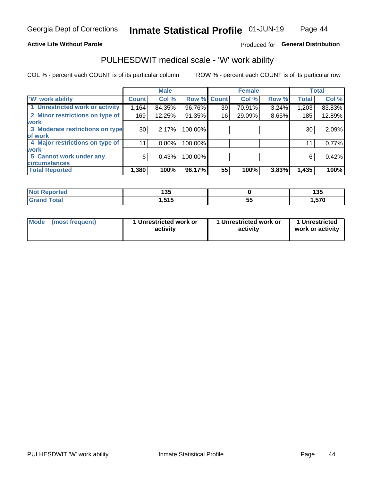### **Active Life Without Parole**

### Produced for General Distribution

### PULHESDWIT medical scale - 'W' work ability

COL % - percent each COUNT is of its particular column

|                                 |              | <b>Male</b> |         |             | <b>Female</b> |       |              | <b>Total</b> |
|---------------------------------|--------------|-------------|---------|-------------|---------------|-------|--------------|--------------|
| <b>W' work ability</b>          | <b>Count</b> | Col %       |         | Row % Count | Col %         | Row % | <b>Total</b> | Col %        |
| 1 Unrestricted work or activity | 1,164        | 84.35%      | 96.76%  | 39          | 70.91%        | 3.24% | 1,203        | 83.83%       |
| 2 Minor restrictions on type of | 169          | 12.25%      | 91.35%  | 16          | 29.09%        | 8.65% | 185          | 12.89%       |
| <b>work</b>                     |              |             |         |             |               |       |              |              |
| 3 Moderate restrictions on type | 30           | 2.17%       | 100.00% |             |               |       | 30           | 2.09%        |
| lof work                        |              |             |         |             |               |       |              |              |
| 4 Major restrictions on type of | 11           | $0.80\%$    | 100.00% |             |               |       | 11           | 0.77%        |
| <b>work</b>                     |              |             |         |             |               |       |              |              |
| 5 Cannot work under any         | 6            | 0.43%       | 100.00% |             |               |       | 6            | 0.42%        |
| <b>circumstances</b>            |              |             |         |             |               |       |              |              |
| <b>Total Reported</b>           | 1,380        | 100%        | 96.17%  | 55          | 100%          | 3.83% | 1,435        | 100%         |

| 'Not Reported | ィクド<br>טטו |    | 12F<br>1 J J |
|---------------|------------|----|--------------|
| <b>Total</b>  | 515        | -- | .570         |
| <b>C</b> ron  | 1.J I J    | v. |              |

| Mode            | 1 Unrestricted work or | 1 Unrestricted work or | 1 Unrestricted   |
|-----------------|------------------------|------------------------|------------------|
| (most frequent) | activity               | activity               | work or activity |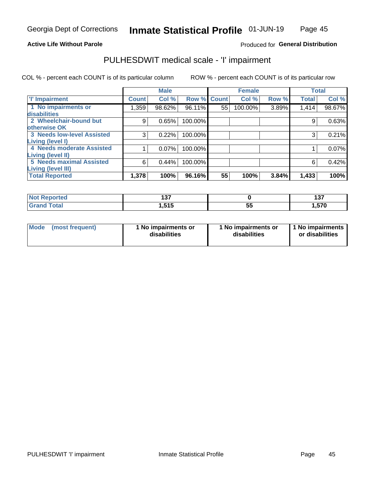### **Active Life Without Parole**

### Produced for General Distribution

# PULHESDWIT medical scale - 'I' impairment

COL % - percent each COUNT is of its particular column ROW % - percent each COUNT is of its particular row

|                                   |              | <b>Male</b> |             |    | <b>Female</b> |       |              | <b>Total</b> |
|-----------------------------------|--------------|-------------|-------------|----|---------------|-------|--------------|--------------|
| <b>T' Impairment</b>              | <b>Count</b> | Col %       | Row % Count |    | Col %         | Row % | <b>Total</b> | Col %        |
| 1 No impairments or               | 359, ا       | 98.62%      | 96.11%      | 55 | 100.00%       | 3.89% | 1,414        | 98.67%       |
| <b>disabilities</b>               |              |             |             |    |               |       |              |              |
| 2 Wheelchair-bound but            | 9            | 0.65%       | 100.00%     |    |               |       | 9            | 0.63%        |
| otherwise OK                      |              |             |             |    |               |       |              |              |
| <b>3 Needs low-level Assisted</b> | 3            | 0.22%       | 100.00%     |    |               |       | 3            | 0.21%        |
| Living (level I)                  |              |             |             |    |               |       |              |              |
| 4 Needs moderate Assisted         |              | 0.07%       | 100.00%     |    |               |       |              | 0.07%        |
| Living (level II)                 |              |             |             |    |               |       |              |              |
| <b>5 Needs maximal Assisted</b>   | 6            | 0.44%       | 100.00%     |    |               |       | 6            | 0.42%        |
| <b>Living (level III)</b>         |              |             |             |    |               |       |              |              |
| <b>Total Reported</b>             | 1,378        | 100%        | 96.16%      | 55 | 100%          | 3.84% | 1,433        | 100%         |

| วrted | , , ,<br>,,, |          | --<br>1 J I |
|-------|--------------|----------|-------------|
|       | .515         | --<br>JJ | ,570        |

| <b>Mode</b> | (most frequent) | <b>No impairments or</b><br>disabilities | 1 No impairments or<br>disabilities | 1 No impairments<br>or disabilities |
|-------------|-----------------|------------------------------------------|-------------------------------------|-------------------------------------|
|-------------|-----------------|------------------------------------------|-------------------------------------|-------------------------------------|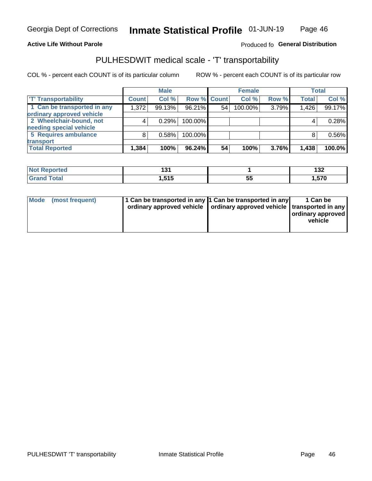### **Active Life Without Parole**

### Produced fo General Distribution

# PULHESDWIT medical scale - 'T' transportability

COL % - percent each COUNT is of its particular column

|                             |              | <b>Male</b> |             |    | <b>Female</b> |       |              | <b>Total</b> |
|-----------------------------|--------------|-------------|-------------|----|---------------|-------|--------------|--------------|
| <b>TT Transportability</b>  | <b>Count</b> | Col %       | Row % Count |    | Col %         | Row % | <b>Total</b> | Col %        |
| 1 Can be transported in any | 1,372        | 99.13%      | 96.21%      | 54 | 100.00%       | 3.79% | 1,426        | 99.17%       |
| ordinary approved vehicle   |              |             |             |    |               |       |              |              |
| 2 Wheelchair-bound, not     |              | 0.29%       | 100.00%     |    |               |       |              | 0.28%        |
| needing special vehicle     |              |             |             |    |               |       |              |              |
| 5 Requires ambulance        |              | 0.58%       | 100.00%     |    |               |       |              | 0.56%        |
| transport                   |              |             |             |    |               |       |              |              |
| <b>Total Reported</b>       | 1,384        | 100%        | 96.24%      | 54 | 100%          | 3.76% | 1,438        | 100.0%       |

| orted        | ו שו |          | ィっっ<br>19Z |
|--------------|------|----------|------------|
| <b>cotal</b> | .515 | --<br>JJ | 1,570      |

| Mode (most frequent) | 1 Can be transported in any 1 Can be transported in any | ordinary approved vehicle   ordinary approved vehicle   transported in any | 1 Can be<br>ordinary approved<br>vehicle |
|----------------------|---------------------------------------------------------|----------------------------------------------------------------------------|------------------------------------------|
|                      |                                                         |                                                                            |                                          |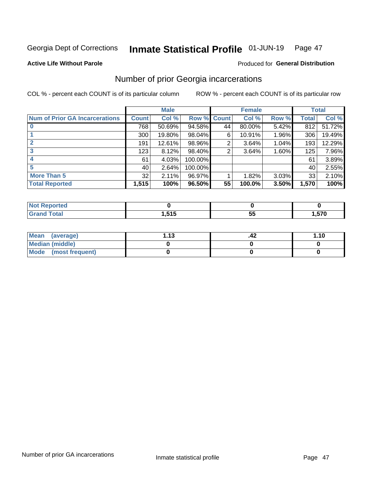#### Inmate Statistical Profile 01-JUN-19 Page 47

**Active Life Without Parole** 

### Produced for General Distribution

# Number of prior Georgia incarcerations

COL % - percent each COUNT is of its particular column

|                                       |              | <b>Male</b> |           |              | <b>Female</b> |          |       | <b>Total</b> |
|---------------------------------------|--------------|-------------|-----------|--------------|---------------|----------|-------|--------------|
| <b>Num of Prior GA Incarcerations</b> | <b>Count</b> | Col %       | Row %     | <b>Count</b> | Col %         | Row %    | Total | Col %        |
|                                       | 768          | 50.69%      | $94.58\%$ | 44           | 80.00%        | 5.42%    | 812   | 51.72%       |
|                                       | 300          | 19.80%      | 98.04%    | 6            | 10.91%        | $1.96\%$ | 306   | 19.49%       |
|                                       | 191          | 12.61%      | 98.96%    | 2            | 3.64%         | 1.04%    | 193   | 12.29%       |
| 3                                     | 123          | 8.12%       | 98.40%    | 2            | 3.64%         | 1.60%    | 125   | 7.96%        |
|                                       | 61           | 4.03%       | 100.00%   |              |               |          | 61    | 3.89%        |
| 5                                     | 40           | 2.64%       | 100.00%   |              |               |          | 40    | 2.55%        |
| <b>More Than 5</b>                    | 32           | 2.11%       | 96.97%    |              | 1.82%         | 3.03%    | 33    | 2.10%        |
| <b>Total Reported</b>                 | 1,515        | 100%        | 96.50%    | 55           | 100.0%        | 3.50%    | 1,570 | 100%         |

| orted<br><b>NOT</b> |                     |   |       |
|---------------------|---------------------|---|-------|
| <b>Total</b><br>∩.∽ | 1 E <i>a</i> E<br>. | ູ | .570، |

| Mean (average)       | 1 1 2 | .42 | 1.10 |
|----------------------|-------|-----|------|
| Median (middle)      |       |     |      |
| Mode (most frequent) |       |     |      |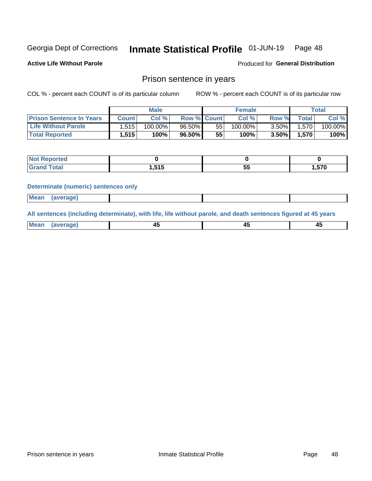#### Inmate Statistical Profile 01-JUN-19 Page 48

**Active Life Without Parole** 

Produced for General Distribution

### Prison sentence in years

COL % - percent each COUNT is of its particular column

ROW % - percent each COUNT is of its particular row

|                                 | <b>Male</b> |            |                    | <b>Female</b> |            |          | Total             |         |
|---------------------------------|-------------|------------|--------------------|---------------|------------|----------|-------------------|---------|
| <b>Prison Sentence In Years</b> | Count l     | Col %      | <b>Row % Count</b> |               | Col %      | Row %    | $\tau$ otal       | Col %   |
| <b>Life Without Parole</b>      | 1,515       | $100.00\%$ | 96.50%             | 55            | $100.00\%$ | $3.50\%$ | 1,570             | 100.00% |
| <b>Total Reported</b>           | 1,515       | 100%       | 96.50%             | 55            | $100\%$    | $3.50\%$ | .570 <sup>1</sup> | 100%    |

| <b>orted</b><br>. |       |          |       |
|-------------------|-------|----------|-------|
|                   | 1,515 | --<br>v. | 1,570 |

#### **Determinate (numeric) sentences only**

| <b>Mean</b><br><i>(average)</i> |  |
|---------------------------------|--|
|---------------------------------|--|

All sentences (including determinate), with life, life without parole, and death sentences figured at 45 years

| $M$ ea<br>(average) | $\sim$ | ,,<br>т. |
|---------------------|--------|----------|
|                     |        |          |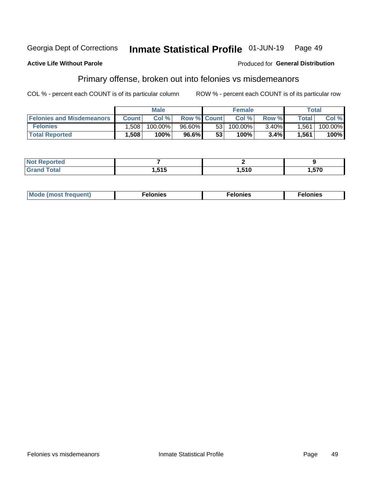#### Georgia Dept of Corrections Inmate Statistical Profile 01-JUN-19 Page 49

#### **Active Life Without Parole**

### Produced for General Distribution

# Primary offense, broken out into felonies vs misdemeanors

COL % - percent each COUNT is of its particular column

|                                  | <b>Male</b>  |         |                    | <b>Female</b> |            |          | Total        |         |
|----------------------------------|--------------|---------|--------------------|---------------|------------|----------|--------------|---------|
| <b>Felonies and Misdemeanors</b> | <b>Count</b> | Col%    | <b>Row % Count</b> |               | Col%       | Row %    | <b>Total</b> | Col %   |
| <b>Felonies</b>                  | .508         | 100.00% | 96.60%             | 531           | $100.00\%$ | $3.40\%$ | 1.561        | 100.00% |
| <b>Total Reported</b>            | .508         | 100%    | 96.6%              | 53            | 100%       | 3.4%     | 1,561        | 100%    |

| <b>Not Reported</b>          |       |       |        |
|------------------------------|-------|-------|--------|
| <b>Total</b><br><b>Grand</b> | 1,515 | 1,510 | 570, ا |

| <b>Mode</b><br>frequent)<br>nies<br>≧ (most tr.<br>. | onies<br>. | lonies<br>енл<br>____ |
|------------------------------------------------------|------------|-----------------------|
|------------------------------------------------------|------------|-----------------------|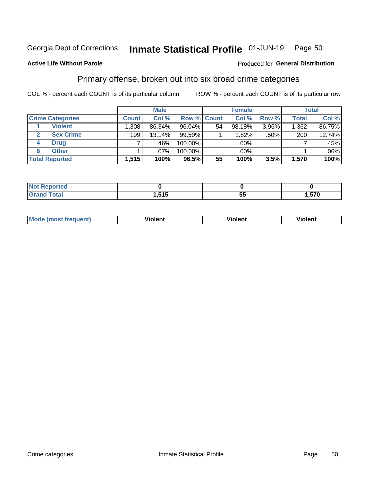#### Inmate Statistical Profile 01-JUN-19 Page 50

### **Active Life Without Parole**

#### Produced for General Distribution

# Primary offense, broken out into six broad crime categories

COL % - percent each COUNT is of its particular column

|                         | <b>Male</b>  |        |           | <b>Female</b> |           |       | <b>Total</b> |         |
|-------------------------|--------------|--------|-----------|---------------|-----------|-------|--------------|---------|
| <b>Crime Categories</b> | <b>Count</b> | Col %  |           | Row % Count   | Col %     | Row % | <b>Total</b> | Col %   |
| <b>Violent</b>          | .308         | 86.34% | $96.04\%$ | 54            | $98.18\%$ | 3.96% | 1,362        | 86.75%  |
| <b>Sex Crime</b>        | 199          | 13.14% | $99.50\%$ |               | 1.82%     | .50%  | 200          | 12.74%  |
| <b>Drug</b><br>4        |              | .46%   | 100.00%   |               | .00%      |       |              | .45%    |
| <b>Other</b><br>6       |              | .07%   | 100.00%   |               | .00%      |       |              | $.06\%$ |
| <b>Total Reported</b>   | 1,515        | 100%   | 96.5%     | 55            | 100%      | 3.5%  | 1,570        | 100%    |

| ortea<br><b>NOT</b><br>$\sim$ |                             |     |       |
|-------------------------------|-----------------------------|-----|-------|
|                               | E <sub>4</sub> E<br>1,J I J | . . | 1,570 |

| <b>Mode (most frequent)</b> | <br>'iolent | Violent | --<br><b>Violent</b> |
|-----------------------------|-------------|---------|----------------------|
|                             |             |         |                      |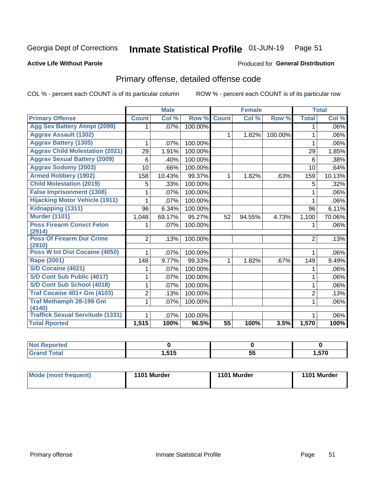#### Inmate Statistical Profile 01-JUN-19 Page 51

#### **Active Life Without Parole**

#### Produced for General Distribution

# Primary offense, detailed offense code

COL % - percent each COUNT is of its particular column

|                                            |                | <b>Male</b> |         |                 | <b>Female</b> |         |                | <b>Total</b> |
|--------------------------------------------|----------------|-------------|---------|-----------------|---------------|---------|----------------|--------------|
| <b>Primary Offense</b>                     | <b>Count</b>   | Col%        | Row %   | <b>Count</b>    | Col %         | Row %   | <b>Total</b>   | Col %        |
| <b>Agg Sex Battery Atmpt (2099)</b>        | 1.             | .07%        | 100.00% |                 |               |         | 1              | $.06\%$      |
| <b>Aggrav Assault (1302)</b>               |                |             |         | 1               | 1.82%         | 100.00% | 1              | .06%         |
| <b>Aggrav Battery (1305)</b>               | 1              | .07%        | 100.00% |                 |               |         | 1              | .06%         |
| <b>Aggrav Child Molestation (2021)</b>     | 29             | 1.91%       | 100.00% |                 |               |         | 29             | 1.85%        |
| <b>Aggrav Sexual Battery (2009)</b>        | 6              | .40%        | 100.00% |                 |               |         | 6              | .38%         |
| <b>Aggrav Sodomy (2003)</b>                | 10             | .66%        | 100.00% |                 |               |         | 10             | .64%         |
| <b>Armed Robbery (1902)</b>                | 158            | 10.43%      | 99.37%  | $\mathbf 1$     | 1.82%         | .63%    | 159            | 10.13%       |
| <b>Child Molestation (2019)</b>            | 5              | .33%        | 100.00% |                 |               |         | 5              | .32%         |
| <b>False Imprisonment (1308)</b>           | 1              | .07%        | 100.00% |                 |               |         | 1              | $.06\%$      |
| <b>Hijacking Motor Vehicle (1911)</b>      | 1              | .07%        | 100.00% |                 |               |         | 1              | $.06\%$      |
| Kidnapping (1311)                          | 96             | 6.34%       | 100.00% |                 |               |         | 96             | 6.11%        |
| <b>Murder (1101)</b>                       | 1,048          | 69.17%      | 95.27%  | 52              | 94.55%        | 4.73%   | 1,100          | 70.06%       |
| <b>Poss Firearm Convct Felon</b>           | 1              | $.07\%$     | 100.00% |                 |               |         | 1              | $.06\%$      |
| (2914)                                     |                |             |         |                 |               |         |                |              |
| <b>Poss Of Firearm Dur Crime</b><br>(2910) | $\overline{2}$ | .13%        | 100.00% |                 |               |         | 2              | .13%         |
| Poss W Int Dist Cocaine (4050)             |                | .07%        | 100.00% |                 |               |         |                | $.06\%$      |
| Rape (2001)                                | 148            | 9.77%       | 99.33%  | 1               | 1.82%         | .67%    | 149            | 9.49%        |
| <b>S/D Cocaine (4021)</b>                  | 1              | .07%        | 100.00% |                 |               |         | 1              | $.06\%$      |
| S/D Cont Sub Public (4017)                 | 1              | .07%        | 100.00% |                 |               |         | 1              | $.06\%$      |
| S/D Cont Sub School (4018)                 | 1              | .07%        | 100.00% |                 |               |         | 1              | $.06\%$      |
| <b>Traf Cocaine 401+ Gm (4103)</b>         | $\overline{2}$ | .13%        | 100.00% |                 |               |         | $\overline{2}$ | .13%         |
| <b>Traf Methamph 28-199 Gm</b>             | 1              | .07%        | 100.00% |                 |               |         | 1              | $.06\%$      |
| (4140)                                     |                |             |         |                 |               |         |                |              |
| <b>Traffick Sexual Servitude (1331)</b>    | 1              | .07%        | 100.00% |                 |               |         |                | $.06\%$      |
| <b>Total Rported</b>                       | 1,515          | 100%        | 96.5%   | $\overline{55}$ | 100%          | 3.5%    | 1,570          | 100%         |

| тео                   |     |    |               |
|-----------------------|-----|----|---------------|
| <b>otal</b><br>______ | EAE | ວະ | ---<br>.o / u |

| Mode (most frequent) | 1101 Murder | 1101 Murder | 1101 Murder |
|----------------------|-------------|-------------|-------------|
|                      |             |             |             |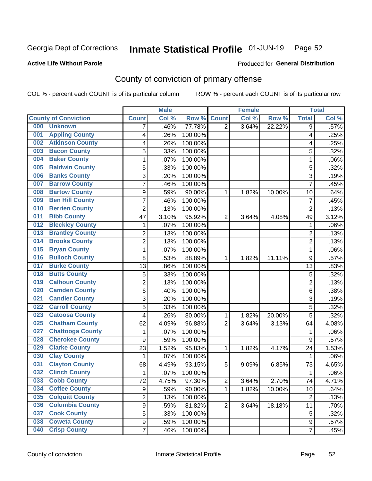# Inmate Statistical Profile 01-JUN-19 Page 52

### **Active Life Without Parole**

#### Produced for General Distribution

# County of conviction of primary offense

COL % - percent each COUNT is of its particular column

|     |                             |                | <b>Male</b> |         |                | <b>Female</b> |        |                | <b>Total</b> |
|-----|-----------------------------|----------------|-------------|---------|----------------|---------------|--------|----------------|--------------|
|     | <b>County of Conviction</b> | <b>Count</b>   | Col %       | Row %   | <b>Count</b>   | Col %         | Row %  | <b>Total</b>   | Col %        |
| 000 | <b>Unknown</b>              | 7              | .46%        | 77.78%  | $\overline{2}$ | 3.64%         | 22.22% | 9              | .57%         |
| 001 | <b>Appling County</b>       | 4              | .26%        | 100.00% |                |               |        | 4              | .25%         |
| 002 | <b>Atkinson County</b>      | 4              | .26%        | 100.00% |                |               |        | 4              | .25%         |
| 003 | <b>Bacon County</b>         | 5              | .33%        | 100.00% |                |               |        | 5              | .32%         |
| 004 | <b>Baker County</b>         | $\mathbf{1}$   | .07%        | 100.00% |                |               |        | $\mathbf{1}$   | .06%         |
| 005 | <b>Baldwin County</b>       | 5              | .33%        | 100.00% |                |               |        | 5              | .32%         |
| 006 | <b>Banks County</b>         | 3              | .20%        | 100.00% |                |               |        | $\overline{3}$ | .19%         |
| 007 | <b>Barrow County</b>        | $\overline{7}$ | .46%        | 100.00% |                |               |        | $\overline{7}$ | .45%         |
| 008 | <b>Bartow County</b>        | 9              | .59%        | 90.00%  | 1              | 1.82%         | 10.00% | 10             | .64%         |
| 009 | <b>Ben Hill County</b>      | $\overline{7}$ | .46%        | 100.00% |                |               |        | $\overline{7}$ | .45%         |
| 010 | <b>Berrien County</b>       | $\overline{2}$ | .13%        | 100.00% |                |               |        | $\overline{2}$ | .13%         |
| 011 | <b>Bibb County</b>          | 47             | 3.10%       | 95.92%  | $\overline{2}$ | 3.64%         | 4.08%  | 49             | 3.12%        |
| 012 | <b>Bleckley County</b>      | $\mathbf{1}$   | .07%        | 100.00% |                |               |        | $\mathbf{1}$   | .06%         |
| 013 | <b>Brantley County</b>      | $\overline{2}$ | .13%        | 100.00% |                |               |        | $\overline{2}$ | .13%         |
| 014 | <b>Brooks County</b>        | $\overline{2}$ | .13%        | 100.00% |                |               |        | $\overline{2}$ | .13%         |
| 015 | <b>Bryan County</b>         | $\mathbf{1}$   | .07%        | 100.00% |                |               |        | $\mathbf{1}$   | .06%         |
| 016 | <b>Bulloch County</b>       | 8              | .53%        | 88.89%  | 1              | 1.82%         | 11.11% | 9              | .57%         |
| 017 | <b>Burke County</b>         | 13             | .86%        | 100.00% |                |               |        | 13             | .83%         |
| 018 | <b>Butts County</b>         | 5              | .33%        | 100.00% |                |               |        | 5              | .32%         |
| 019 | <b>Calhoun County</b>       | $\overline{2}$ | .13%        | 100.00% |                |               |        | $\overline{2}$ | .13%         |
| 020 | <b>Camden County</b>        | 6              | .40%        | 100.00% |                |               |        | 6              | .38%         |
| 021 | <b>Candler County</b>       | 3              | .20%        | 100.00% |                |               |        | 3              | .19%         |
| 022 | <b>Carroll County</b>       | 5              | .33%        | 100.00% |                |               |        | 5              | .32%         |
| 023 | <b>Catoosa County</b>       | 4              | .26%        | 80.00%  | 1              | 1.82%         | 20.00% | 5              | .32%         |
| 025 | <b>Chatham County</b>       | 62             | 4.09%       | 96.88%  | $\overline{2}$ | 3.64%         | 3.13%  | 64             | 4.08%        |
| 027 | <b>Chattooga County</b>     | 1              | .07%        | 100.00% |                |               |        | 1              | .06%         |
| 028 | <b>Cherokee County</b>      | 9              | .59%        | 100.00% |                |               |        | 9              | .57%         |
| 029 | <b>Clarke County</b>        | 23             | 1.52%       | 95.83%  | 1              | 1.82%         | 4.17%  | 24             | 1.53%        |
| 030 | <b>Clay County</b>          | $\mathbf{1}$   | .07%        | 100.00% |                |               |        | $\mathbf{1}$   | .06%         |
| 031 | <b>Clayton County</b>       | 68             | 4.49%       | 93.15%  | 5              | 9.09%         | 6.85%  | 73             | 4.65%        |
| 032 | <b>Clinch County</b>        | $\mathbf{1}$   | .07%        | 100.00% |                |               |        | 1              | .06%         |
| 033 | <b>Cobb County</b>          | 72             | 4.75%       | 97.30%  | 2              | 3.64%         | 2.70%  | 74             | 4.71%        |
| 034 | <b>Coffee County</b>        | 9              | .59%        | 90.00%  | 1              | 1.82%         | 10.00% | 10             | .64%         |
| 035 | <b>Colquitt County</b>      | $\overline{2}$ | .13%        | 100.00% |                |               |        | $\overline{2}$ | .13%         |
| 036 | <b>Columbia County</b>      | 9              | .59%        | 81.82%  | $\overline{2}$ | 3.64%         | 18.18% | 11             | .70%         |
| 037 | <b>Cook County</b>          | 5              | .33%        | 100.00% |                |               |        | 5              | .32%         |
| 038 | <b>Coweta County</b>        | 9              | .59%        | 100.00% |                |               |        | 9              | .57%         |
| 040 | <b>Crisp County</b>         | $\overline{7}$ | .46%        | 100.00% |                |               |        | $\overline{7}$ | .45%         |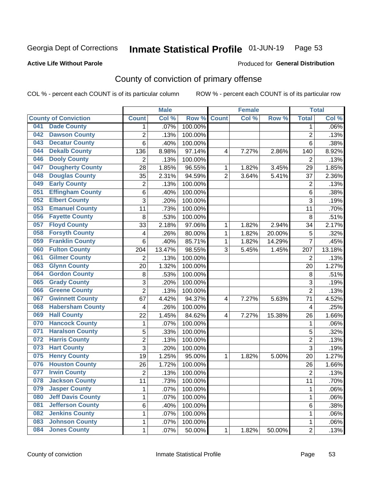#### Inmate Statistical Profile 01-JUN-19 Page 53

### **Active Life Without Parole**

#### Produced for General Distribution

# County of conviction of primary offense

COL % - percent each COUNT is of its particular column

|     |                             |                | <b>Male</b> |         |                | <b>Female</b> |        |                | <b>Total</b> |
|-----|-----------------------------|----------------|-------------|---------|----------------|---------------|--------|----------------|--------------|
|     | <b>County of Conviction</b> | <b>Count</b>   | Col %       | Row %   | <b>Count</b>   | Col %         | Row %  | <b>Total</b>   | Col %        |
| 041 | <b>Dade County</b>          | 1              | .07%        | 100.00% |                |               |        | $\mathbf 1$    | $.06\%$      |
| 042 | <b>Dawson County</b>        | $\overline{2}$ | .13%        | 100.00% |                |               |        | $\overline{2}$ | .13%         |
| 043 | <b>Decatur County</b>       | $\overline{6}$ | .40%        | 100.00% |                |               |        | 6              | .38%         |
| 044 | <b>Dekalb County</b>        | 136            | 8.98%       | 97.14%  | 4              | 7.27%         | 2.86%  | 140            | 8.92%        |
| 046 | <b>Dooly County</b>         | $\overline{2}$ | .13%        | 100.00% |                |               |        | $\overline{2}$ | .13%         |
| 047 | <b>Dougherty County</b>     | 28             | 1.85%       | 96.55%  | 1              | 1.82%         | 3.45%  | 29             | 1.85%        |
| 048 | <b>Douglas County</b>       | 35             | 2.31%       | 94.59%  | $\overline{2}$ | 3.64%         | 5.41%  | 37             | 2.36%        |
| 049 | <b>Early County</b>         | $\overline{2}$ | .13%        | 100.00% |                |               |        | $\overline{2}$ | .13%         |
| 051 | <b>Effingham County</b>     | 6              | .40%        | 100.00% |                |               |        | 6              | .38%         |
| 052 | <b>Elbert County</b>        | 3              | .20%        | 100.00% |                |               |        | 3              | .19%         |
| 053 | <b>Emanuel County</b>       | 11             | .73%        | 100.00% |                |               |        | 11             | .70%         |
| 056 | <b>Fayette County</b>       | 8              | .53%        | 100.00% |                |               |        | 8              | .51%         |
| 057 | <b>Floyd County</b>         | 33             | 2.18%       | 97.06%  | 1              | 1.82%         | 2.94%  | 34             | 2.17%        |
| 058 | <b>Forsyth County</b>       | 4              | .26%        | 80.00%  | 1              | 1.82%         | 20.00% | 5              | .32%         |
| 059 | <b>Franklin County</b>      | 6              | .40%        | 85.71%  | 1              | 1.82%         | 14.29% | $\overline{7}$ | .45%         |
| 060 | <b>Fulton County</b>        | 204            | 13.47%      | 98.55%  | 3              | 5.45%         | 1.45%  | 207            | 13.18%       |
| 061 | <b>Gilmer County</b>        | 2              | .13%        | 100.00% |                |               |        | $\overline{2}$ | .13%         |
| 063 | <b>Glynn County</b>         | 20             | 1.32%       | 100.00% |                |               |        | 20             | 1.27%        |
| 064 | <b>Gordon County</b>        | 8              | .53%        | 100.00% |                |               |        | 8              | .51%         |
| 065 | <b>Grady County</b>         | 3              | .20%        | 100.00% |                |               |        | 3              | .19%         |
| 066 | <b>Greene County</b>        | $\overline{2}$ | .13%        | 100.00% |                |               |        | $\overline{2}$ | .13%         |
| 067 | <b>Gwinnett County</b>      | 67             | 4.42%       | 94.37%  | 4              | 7.27%         | 5.63%  | 71             | 4.52%        |
| 068 | <b>Habersham County</b>     | 4              | .26%        | 100.00% |                |               |        | 4              | .25%         |
| 069 | <b>Hall County</b>          | 22             | 1.45%       | 84.62%  | 4              | 7.27%         | 15.38% | 26             | 1.66%        |
| 070 | <b>Hancock County</b>       | 1              | .07%        | 100.00% |                |               |        | 1              | .06%         |
| 071 | <b>Haralson County</b>      | 5              | .33%        | 100.00% |                |               |        | 5              | .32%         |
| 072 | <b>Harris County</b>        | $\overline{2}$ | .13%        | 100.00% |                |               |        | $\overline{2}$ | .13%         |
| 073 | <b>Hart County</b>          | 3              | .20%        | 100.00% |                |               |        | 3              | .19%         |
| 075 | <b>Henry County</b>         | 19             | 1.25%       | 95.00%  | 1              | 1.82%         | 5.00%  | 20             | 1.27%        |
| 076 | <b>Houston County</b>       | 26             | 1.72%       | 100.00% |                |               |        | 26             | 1.66%        |
| 077 | <b>Irwin County</b>         | $\overline{2}$ | .13%        | 100.00% |                |               |        | $\overline{2}$ | .13%         |
| 078 | <b>Jackson County</b>       | 11             | .73%        | 100.00% |                |               |        | 11             | .70%         |
| 079 | <b>Jasper County</b>        | 1              | .07%        | 100.00% |                |               |        | $\mathbf{1}$   | .06%         |
| 080 | <b>Jeff Davis County</b>    | 1              | .07%        | 100.00% |                |               |        | 1              | .06%         |
| 081 | <b>Jefferson County</b>     | 6              | .40%        | 100.00% |                |               |        | 6              | .38%         |
| 082 | <b>Jenkins County</b>       | 1              | .07%        | 100.00% |                |               |        | 1              | .06%         |
| 083 | <b>Johnson County</b>       | 1              | .07%        | 100.00% |                |               |        | $\mathbf 1$    | .06%         |
| 084 | <b>Jones County</b>         | 1              | .07%        | 50.00%  | 1              | 1.82%         | 50.00% | $\overline{2}$ | .13%         |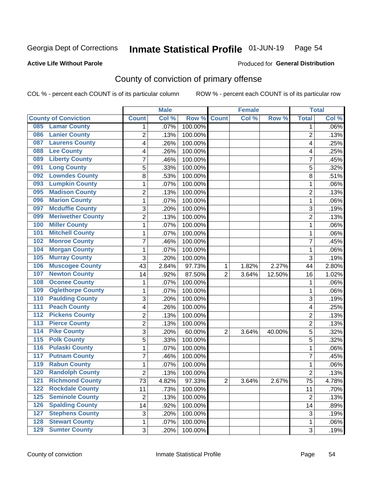# Inmate Statistical Profile 01-JUN-19 Page 54

### **Active Life Without Parole**

#### Produced for General Distribution

# County of conviction of primary offense

COL % - percent each COUNT is of its particular column

|                                        |                | <b>Male</b> |         |                | <b>Female</b> |        |                | <b>Total</b> |
|----------------------------------------|----------------|-------------|---------|----------------|---------------|--------|----------------|--------------|
| <b>County of Conviction</b>            | <b>Count</b>   | Col %       | Row %   | <b>Count</b>   | Col %         | Row %  | <b>Total</b>   | Col %        |
| <b>Lamar County</b><br>085             | 1              | .07%        | 100.00% |                |               |        | 1              | $.06\%$      |
| <b>Lanier County</b><br>086            | $\overline{2}$ | .13%        | 100.00% |                |               |        | $\overline{2}$ | .13%         |
| <b>Laurens County</b><br>087           | 4              | .26%        | 100.00% |                |               |        | 4              | .25%         |
| <b>Lee County</b><br>088               | 4              | .26%        | 100.00% |                |               |        | 4              | .25%         |
| <b>Liberty County</b><br>089           | 7              | .46%        | 100.00% |                |               |        | 7              | .45%         |
| <b>Long County</b><br>091              | 5              | .33%        | 100.00% |                |               |        | 5              | .32%         |
| <b>Lowndes County</b><br>092           | 8              | .53%        | 100.00% |                |               |        | 8              | .51%         |
| <b>Lumpkin County</b><br>093           | 1              | .07%        | 100.00% |                |               |        | 1              | .06%         |
| <b>Madison County</b><br>095           | 2              | .13%        | 100.00% |                |               |        | $\overline{2}$ | .13%         |
| <b>Marion County</b><br>096            | 1              | .07%        | 100.00% |                |               |        | $\mathbf{1}$   | .06%         |
| <b>Mcduffie County</b><br>097          | 3              | .20%        | 100.00% |                |               |        | 3              | .19%         |
| <b>Meriwether County</b><br>099        | $\overline{2}$ | .13%        | 100.00% |                |               |        | $\overline{2}$ | .13%         |
| <b>Miller County</b><br>100            | 1              | .07%        | 100.00% |                |               |        | $\mathbf{1}$   | .06%         |
| <b>Mitchell County</b><br>101          | 1              | .07%        | 100.00% |                |               |        | 1              | .06%         |
| <b>Monroe County</b><br>102            | 7              | .46%        | 100.00% |                |               |        | $\overline{7}$ | .45%         |
| <b>Morgan County</b><br>104            | 1              | .07%        | 100.00% |                |               |        | $\mathbf{1}$   | .06%         |
| <b>Murray County</b><br>105            | 3              | .20%        | 100.00% |                |               |        | 3              | .19%         |
| <b>Muscogee County</b><br>106          | 43             | 2.84%       | 97.73%  | 1              | 1.82%         | 2.27%  | 44             | 2.80%        |
| <b>Newton County</b><br>107            | 14             | .92%        | 87.50%  | $\overline{2}$ | 3.64%         | 12.50% | 16             | 1.02%        |
| <b>Oconee County</b><br>108            | 1              | .07%        | 100.00% |                |               |        | 1              | .06%         |
| <b>Oglethorpe County</b><br>109        | 1              | .07%        | 100.00% |                |               |        | 1              | .06%         |
| <b>Paulding County</b><br>110          | 3              | .20%        | 100.00% |                |               |        | 3              | .19%         |
| <b>Peach County</b><br>111             | 4              | .26%        | 100.00% |                |               |        | 4              | .25%         |
| <b>Pickens County</b><br>112           | $\overline{2}$ | .13%        | 100.00% |                |               |        | $\overline{2}$ | .13%         |
| <b>Pierce County</b><br>113            | 2              | .13%        | 100.00% |                |               |        | $\overline{2}$ | .13%         |
| <b>Pike County</b><br>$\overline{114}$ | 3              | .20%        | 60.00%  | $\overline{2}$ | 3.64%         | 40.00% | 5              | .32%         |
| <b>Polk County</b><br>115              | 5              | .33%        | 100.00% |                |               |        | 5              | .32%         |
| <b>Pulaski County</b><br>116           | 1              | .07%        | 100.00% |                |               |        | 1              | .06%         |
| <b>Putnam County</b><br>117            | 7              | .46%        | 100.00% |                |               |        | 7              | .45%         |
| <b>Rabun County</b><br>119             | 1              | .07%        | 100.00% |                |               |        | $\mathbf{1}$   | .06%         |
| <b>Randolph County</b><br>120          | $\overline{2}$ | .13%        | 100.00% |                |               |        | $\overline{2}$ | .13%         |
| <b>Richmond County</b><br>121          | 73             | 4.82%       | 97.33%  | 2              | 3.64%         | 2.67%  | 75             | 4.78%        |
| <b>Rockdale County</b><br>122          | 11             | .73%        | 100.00% |                |               |        | 11             | .70%         |
| <b>Seminole County</b><br>$125$        | $\overline{2}$ | .13%        | 100.00% |                |               |        | $\overline{2}$ | .13%         |
| <b>Spalding County</b><br>126          | 14             | .92%        | 100.00% |                |               |        | 14             | .89%         |
| <b>Stephens County</b><br>127          | 3              | .20%        | 100.00% |                |               |        | 3              | .19%         |
| <b>Stewart County</b><br>128           | 1              | .07%        | 100.00% |                |               |        | 1              | .06%         |
| <b>Sumter County</b><br>129            | 3              | .20%        | 100.00% |                |               |        | 3              | .19%         |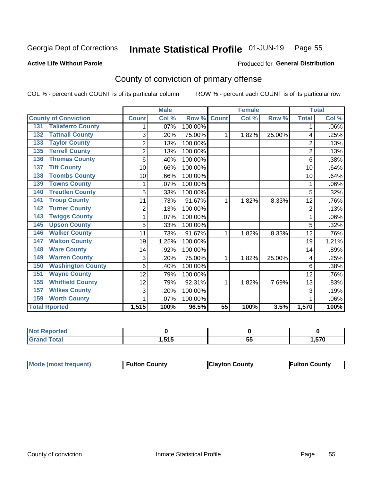#### Inmate Statistical Profile 01-JUN-19 Page 55

Produced for General Distribution

#### **Active Life Without Parole**

# County of conviction of primary offense

COL % - percent each COUNT is of its particular column

|                                 |                | <b>Male</b> |         |                 | <b>Female</b> |        |                | <b>Total</b> |
|---------------------------------|----------------|-------------|---------|-----------------|---------------|--------|----------------|--------------|
| <b>County of Conviction</b>     | <b>Count</b>   | Col %       | Row %   | <b>Count</b>    | Col %         | Row %  | <b>Total</b>   | Col %        |
| <b>Taliaferro County</b><br>131 |                | .07%        | 100.00% |                 |               |        | 1              | .06%         |
| <b>Tattnall County</b><br>132   | 3              | .20%        | 75.00%  | 1               | 1.82%         | 25.00% | 4              | .25%         |
| <b>Taylor County</b><br>133     | $\overline{2}$ | .13%        | 100.00% |                 |               |        | $\overline{c}$ | .13%         |
| <b>Terrell County</b><br>135    | $\overline{2}$ | .13%        | 100.00% |                 |               |        | $\overline{2}$ | .13%         |
| <b>Thomas County</b><br>136     | 6              | .40%        | 100.00% |                 |               |        | 6              | .38%         |
| <b>Tift County</b><br>137       | 10             | .66%        | 100.00% |                 |               |        | 10             | .64%         |
| <b>Toombs County</b><br>138     | 10             | .66%        | 100.00% |                 |               |        | 10             | .64%         |
| <b>Towns County</b><br>139      |                | .07%        | 100.00% |                 |               |        | 1              | .06%         |
| <b>Treutlen County</b><br>140   | 5              | .33%        | 100.00% |                 |               |        | 5              | .32%         |
| <b>Troup County</b><br>141      | 11             | .73%        | 91.67%  | 1               | 1.82%         | 8.33%  | 12             | .76%         |
| <b>Turner County</b><br>142     | $\overline{2}$ | .13%        | 100.00% |                 |               |        | $\overline{2}$ | .13%         |
| <b>Twiggs County</b><br>143     |                | .07%        | 100.00% |                 |               |        | 1              | .06%         |
| <b>Upson County</b><br>145      | 5              | .33%        | 100.00% |                 |               |        | 5              | .32%         |
| <b>Walker County</b><br>146     | 11             | .73%        | 91.67%  | 1               | 1.82%         | 8.33%  | 12             | .76%         |
| <b>Walton County</b><br>147     | 19             | 1.25%       | 100.00% |                 |               |        | 19             | 1.21%        |
| <b>Ware County</b><br>148       | 14             | .92%        | 100.00% |                 |               |        | 14             | .89%         |
| <b>Warren County</b><br>149     | 3              | .20%        | 75.00%  | 1               | 1.82%         | 25.00% | 4              | .25%         |
| <b>Washington County</b><br>150 | 6              | .40%        | 100.00% |                 |               |        | 6              | .38%         |
| <b>Wayne County</b><br>151      | 12             | .79%        | 100.00% |                 |               |        | 12             | .76%         |
| <b>Whitfield County</b><br>155  | 12             | .79%        | 92.31%  | 1               | 1.82%         | 7.69%  | 13             | .83%         |
| <b>Wilkes County</b><br>157     | 3              | .20%        | 100.00% |                 |               |        | 3              | .19%         |
| <b>Worth County</b><br>159      | 1              | .07%        | 100.00% |                 |               |        |                | .06%         |
| <b>Total Rported</b>            | 1,515          | 100%        | 96.5%   | $\overline{55}$ | 100%          | 3.5%   | 1,570          | 100%         |

| <b>Not Reported</b> |                 |          |      |
|---------------------|-----------------|----------|------|
| Total               | . E4F.<br>טו טו | --<br>v. | .570 |

|  | <b>Mode (most frequent)</b> | <b>Fulton County</b> | <b>Clayton County</b> | <b>Fulton County</b> |
|--|-----------------------------|----------------------|-----------------------|----------------------|
|--|-----------------------------|----------------------|-----------------------|----------------------|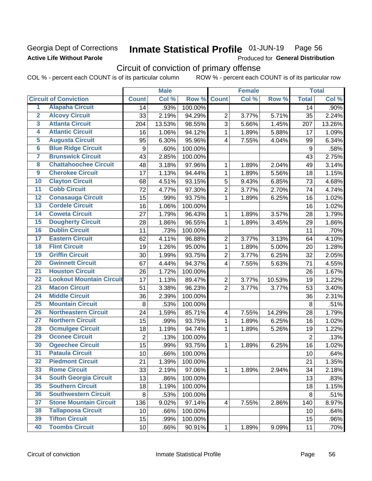### Georgia Dept of Corrections **Active Life Without Parole**

#### Inmate Statistical Profile 01-JUN-19 Page 56

Produced for General Distribution

# Circuit of conviction of primary offense

COL % - percent each COUNT is of its particular column ROW % - percent each COUNT is of its particular row

|                         |                                 |                  | <b>Male</b> |         |                          | <b>Female</b> |        |                  | <b>Total</b> |
|-------------------------|---------------------------------|------------------|-------------|---------|--------------------------|---------------|--------|------------------|--------------|
|                         | <b>Circuit of Conviction</b>    | <b>Count</b>     | Col %       | Row %   | <b>Count</b>             | Col %         | Row %  | <b>Total</b>     | Col %        |
| 1                       | <b>Alapaha Circuit</b>          | 14               | .93%        | 100.00% |                          |               |        | 14               | .90%         |
| $\overline{2}$          | <b>Alcovy Circuit</b>           | 33               | 2.19%       | 94.29%  | $\overline{2}$           | 3.77%         | 5.71%  | 35               | 2.24%        |
| $\overline{\mathbf{3}}$ | <b>Atlanta Circuit</b>          | 204              | 13.53%      | 98.55%  | 3                        | 5.66%         | 1.45%  | 207              | 13.26%       |
| 4                       | <b>Atlantic Circuit</b>         | 16               | 1.06%       | 94.12%  | $\mathbf 1$              | 1.89%         | 5.88%  | 17               | 1.09%        |
| 5                       | <b>Augusta Circuit</b>          | 95               | 6.30%       | 95.96%  | $\overline{\mathcal{A}}$ | 7.55%         | 4.04%  | 99               | 6.34%        |
| $\overline{6}$          | <b>Blue Ridge Circuit</b>       | $\boldsymbol{9}$ | .60%        | 100.00% |                          |               |        | $\boldsymbol{9}$ | .58%         |
| 7                       | <b>Brunswick Circuit</b>        | 43               | 2.85%       | 100.00% |                          |               |        | 43               | 2.75%        |
| 8                       | <b>Chattahoochee Circuit</b>    | 48               | 3.18%       | 97.96%  | 1                        | 1.89%         | 2.04%  | 49               | 3.14%        |
| $\overline{9}$          | <b>Cherokee Circuit</b>         | 17               | 1.13%       | 94.44%  | 1                        | 1.89%         | 5.56%  | 18               | 1.15%        |
| 10                      | <b>Clayton Circuit</b>          | 68               | 4.51%       | 93.15%  | 5                        | 9.43%         | 6.85%  | 73               | 4.68%        |
| $\overline{11}$         | <b>Cobb Circuit</b>             | 72               | 4.77%       | 97.30%  | $\overline{c}$           | 3.77%         | 2.70%  | 74               | 4.74%        |
| 12                      | <b>Conasauga Circuit</b>        | 15               | .99%        | 93.75%  | $\mathbf{1}$             | 1.89%         | 6.25%  | 16               | 1.02%        |
| 13                      | <b>Cordele Circuit</b>          | 16               | 1.06%       | 100.00% |                          |               |        | 16               | 1.02%        |
| $\overline{14}$         | <b>Coweta Circuit</b>           | 27               | 1.79%       | 96.43%  | $\mathbf{1}$             | 1.89%         | 3.57%  | 28               | 1.79%        |
| $\overline{15}$         | <b>Dougherty Circuit</b>        | 28               | 1.86%       | 96.55%  | $\mathbf 1$              | 1.89%         | 3.45%  | 29               | 1.86%        |
| 16                      | <b>Dublin Circuit</b>           | 11               | .73%        | 100.00% |                          |               |        | 11               | .70%         |
| 17                      | <b>Eastern Circuit</b>          | 62               | 4.11%       | 96.88%  | $\overline{2}$           | 3.77%         | 3.13%  | 64               | 4.10%        |
| 18                      | <b>Flint Circuit</b>            | 19               | 1.26%       | 95.00%  | $\mathbf{1}$             | 1.89%         | 5.00%  | 20               | 1.28%        |
| 19                      | <b>Griffin Circuit</b>          | 30               | 1.99%       | 93.75%  | $\overline{2}$           | 3.77%         | 6.25%  | 32               | 2.05%        |
| $\overline{20}$         | <b>Gwinnett Circuit</b>         | 67               | 4.44%       | 94.37%  | 4                        | 7.55%         | 5.63%  | 71               | 4.55%        |
| $\overline{21}$         | <b>Houston Circuit</b>          | 26               | 1.72%       | 100.00% |                          |               |        | 26               | 1.67%        |
| $\overline{22}$         | <b>Lookout Mountain Circuit</b> | 17               | 1.13%       | 89.47%  | $\overline{2}$           | 3.77%         | 10.53% | 19               | 1.22%        |
| 23                      | <b>Macon Circuit</b>            | 51               | 3.38%       | 96.23%  | $\overline{2}$           | 3.77%         | 3.77%  | 53               | 3.40%        |
| $\overline{24}$         | <b>Middle Circuit</b>           | 36               | 2.39%       | 100.00% |                          |               |        | 36               | 2.31%        |
| 25                      | <b>Mountain Circuit</b>         | $\, 8$           | .53%        | 100.00% |                          |               |        | 8                | .51%         |
| 26                      | <b>Northeastern Circuit</b>     | 24               | 1.59%       | 85.71%  | $\overline{\mathcal{A}}$ | 7.55%         | 14.29% | 28               | 1.79%        |
| $\overline{27}$         | <b>Northern Circuit</b>         | 15               | .99%        | 93.75%  | 1                        | 1.89%         | 6.25%  | 16               | 1.02%        |
| 28                      | <b>Ocmulgee Circuit</b>         | 18               | 1.19%       | 94.74%  | 1                        | 1.89%         | 5.26%  | 19               | 1.22%        |
| 29                      | <b>Oconee Circuit</b>           | $\overline{2}$   | .13%        | 100.00% |                          |               |        | $\overline{2}$   | .13%         |
| 30                      | <b>Ogeechee Circuit</b>         | 15               | .99%        | 93.75%  | 1                        | 1.89%         | 6.25%  | 16               | 1.02%        |
| $\overline{31}$         | <b>Pataula Circuit</b>          | 10               | .66%        | 100.00% |                          |               |        | 10               | .64%         |
| 32                      | <b>Piedmont Circuit</b>         | 21               | 1.39%       | 100.00% |                          |               |        | 21               | 1.35%        |
| 33                      | <b>Rome Circuit</b>             | 33               | 2.19%       | 97.06%  | $\mathbf{1}$             | 1.89%         | 2.94%  | 34               | 2.18%        |
| 34                      | <b>South Georgia Circuit</b>    | 13               | .86%        | 100.00% |                          |               |        | 13               | .83%         |
| 35                      | <b>Southern Circuit</b>         | 18               | 1.19%       | 100.00% |                          |               |        | 18               | 1.15%        |
| 36                      | <b>Southwestern Circuit</b>     | 8                | .53%        | 100.00% |                          |               |        | 8                | .51%         |
| 37                      | <b>Stone Mountain Circuit</b>   | 136              | 9.02%       | 97.14%  | 4                        | 7.55%         | 2.86%  | 140              | 8.97%        |
| 38                      | <b>Tallapoosa Circuit</b>       | 10               | .66%        | 100.00% |                          |               |        | 10               | .64%         |
| 39                      | <b>Tifton Circuit</b>           | 15               | .99%        | 100.00% |                          |               |        | 15               | .96%         |
| 40                      | <b>Toombs Circuit</b>           | 10               | .66%        | 90.91%  | $\mathbf{1}$             | 1.89%         | 9.09%  | 11               | .70%         |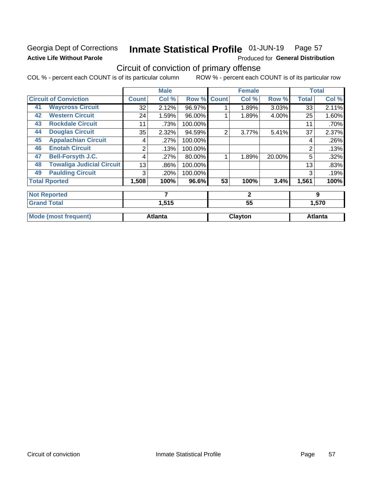## Georgia Dept of Corrections **Active Life Without Parole**

#### Inmate Statistical Profile 01-JUN-19 Page 57

Produced for General Distribution

# Circuit of conviction of primary offense

COL % - percent each COUNT is of its particular column ROW % - percent each COUNT is of its particular row

|    |                                  |              | <b>Male</b>    |         |                | <b>Female</b> |        |              | <b>Total</b>   |
|----|----------------------------------|--------------|----------------|---------|----------------|---------------|--------|--------------|----------------|
|    | <b>Circuit of Conviction</b>     | <b>Count</b> | Col %          | Row %   | <b>Count</b>   | Col %         | Row %  | <b>Total</b> | Col %          |
| 41 | <b>Waycross Circuit</b>          | 32           | 2.12%          | 96.97%  |                | 1.89%         | 3.03%  | 33           | 2.11%          |
| 42 | <b>Western Circuit</b>           | 24           | 1.59%          | 96.00%  |                | 1.89%         | 4.00%  | 25           | 1.60%          |
| 43 | <b>Rockdale Circuit</b>          | 11           | .73%           | 100.00% |                |               |        | 11           | .70%           |
| 44 | <b>Douglas Circuit</b>           | 35           | 2.32%          | 94.59%  | $\overline{2}$ | 3.77%         | 5.41%  | 37           | 2.37%          |
| 45 | <b>Appalachian Circuit</b>       | 4            | .27%           | 100.00% |                |               |        | 4            | .26%           |
| 46 | <b>Enotah Circuit</b>            | 2            | .13%           | 100.00% |                |               |        | 2            | .13%           |
| 47 | <b>Bell-Forsyth J.C.</b>         | 4            | .27%           | 80.00%  |                | 1.89%         | 20.00% | 5            | .32%           |
| 48 | <b>Towaliga Judicial Circuit</b> | 13           | .86%           | 100.00% |                |               |        | 13           | .83%           |
| 49 | <b>Paulding Circuit</b>          | 3            | .20%           | 100.00% |                |               |        | 3            | .19%           |
|    | <b>Total Rported</b>             | 1,508        | 100%           | 96.6%   | 53             | 100%          | 3.4%   | 1,561        | 100%           |
|    | <b>Not Reported</b>              |              | 7              |         |                | $\mathbf{2}$  |        |              | 9              |
|    | <b>Grand Total</b>               |              | 1,515          |         |                | 55            |        |              | 1,570          |
|    | <b>Mode (most frequent)</b>      |              | <b>Atlanta</b> |         |                | Clayton       |        |              | <b>Atlanta</b> |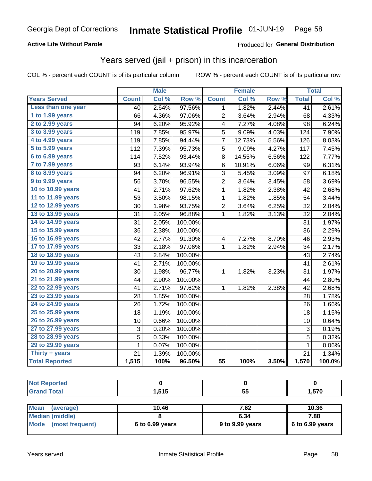### **Active Life Without Parole**

### Produced for General Distribution

# Years served (jail + prison) in this incarceration

COL % - percent each COUNT is of its particular column

|                        |                 | <b>Male</b> |         |                 | <b>Female</b> |       |                 | <b>Total</b> |
|------------------------|-----------------|-------------|---------|-----------------|---------------|-------|-----------------|--------------|
| <b>Years Served</b>    | <b>Count</b>    | Col %       | Row %   | <b>Count</b>    | Col %         | Row % | <b>Total</b>    | Col %        |
| Less than one year     | $\overline{40}$ | 2.64%       | 97.56%  | 1               | 1.82%         | 2.44% | $\overline{41}$ | 2.61%        |
| 1 to 1.99 years        | 66              | 4.36%       | 97.06%  | $\overline{2}$  | 3.64%         | 2.94% | 68              | 4.33%        |
| 2 to 2.99 years        | 94              | 6.20%       | 95.92%  | 4               | 7.27%         | 4.08% | 98              | 6.24%        |
| 3 to 3.99 years        | 119             | 7.85%       | 95.97%  | 5               | 9.09%         | 4.03% | 124             | 7.90%        |
| 4 to 4.99 years        | 119             | 7.85%       | 94.44%  | 7               | 12.73%        | 5.56% | 126             | 8.03%        |
| 5 to 5.99 years        | 112             | 7.39%       | 95.73%  | 5               | 9.09%         | 4.27% | 117             | 7.45%        |
| 6 to 6.99 years        | 114             | 7.52%       | 93.44%  | 8               | 14.55%        | 6.56% | 122             | 7.77%        |
| 7 to 7.99 years        | 93              | 6.14%       | 93.94%  | 6               | 10.91%        | 6.06% | 99              | 6.31%        |
| <b>8 to 8.99 years</b> | 94              | 6.20%       | 96.91%  | 3               | 5.45%         | 3.09% | 97              | 6.18%        |
| 9 to 9.99 years        | 56              | 3.70%       | 96.55%  | 2               | 3.64%         | 3.45% | 58              | 3.69%        |
| 10 to 10.99 years      | 41              | 2.71%       | 97.62%  | 1               | 1.82%         | 2.38% | 42              | 2.68%        |
| 11 to 11.99 years      | 53              | 3.50%       | 98.15%  | 1               | 1.82%         | 1.85% | 54              | 3.44%        |
| 12 to 12.99 years      | 30              | 1.98%       | 93.75%  | 2               | 3.64%         | 6.25% | 32              | 2.04%        |
| 13 to 13.99 years      | 31              | 2.05%       | 96.88%  | $\mathbf 1$     | 1.82%         | 3.13% | 32              | 2.04%        |
| 14 to 14.99 years      | 31              | 2.05%       | 100.00% |                 |               |       | 31              | 1.97%        |
| 15 to 15.99 years      | 36              | 2.38%       | 100.00% |                 |               |       | 36              | 2.29%        |
| 16 to 16.99 years      | 42              | 2.77%       | 91.30%  | 4               | 7.27%         | 8.70% | 46              | 2.93%        |
| 17 to 17.99 years      | 33              | 2.18%       | 97.06%  | $\mathbf{1}$    | 1.82%         | 2.94% | 34              | 2.17%        |
| 18 to 18.99 years      | 43              | 2.84%       | 100.00% |                 |               |       | 43              | 2.74%        |
| 19 to 19.99 years      | 41              | 2.71%       | 100.00% |                 |               |       | 41              | 2.61%        |
| 20 to 20.99 years      | 30              | 1.98%       | 96.77%  | $\mathbf 1$     | 1.82%         | 3.23% | 31              | 1.97%        |
| 21 to 21.99 years      | 44              | 2.90%       | 100.00% |                 |               |       | 44              | 2.80%        |
| 22 to 22.99 years      | 41              | 2.71%       | 97.62%  | 1               | 1.82%         | 2.38% | 42              | 2.68%        |
| 23 to 23.99 years      | 28              | 1.85%       | 100.00% |                 |               |       | 28              | 1.78%        |
| 24 to 24.99 years      | 26              | 1.72%       | 100.00% |                 |               |       | 26              | 1.66%        |
| 25 to 25.99 years      | 18              | 1.19%       | 100.00% |                 |               |       | 18              | 1.15%        |
| 26 to 26.99 years      | 10              | 0.66%       | 100.00% |                 |               |       | 10              | 0.64%        |
| 27 to 27.99 years      | 3               | 0.20%       | 100.00% |                 |               |       | 3               | 0.19%        |
| 28 to 28.99 years      | 5               | 0.33%       | 100.00% |                 |               |       | 5               | 0.32%        |
| 29 to 29.99 years      | 1               | 0.07%       | 100.00% |                 |               |       | 1               | 0.06%        |
| Thirty + years         | 21              | 1.39%       | 100.00% |                 |               |       | 21              | 1.34%        |
| <b>Total Reported</b>  | 1,515           | 100%        | 96.50%  | $\overline{55}$ | 100%          | 3.50% | 1,570           | 100.0%       |

| rtea                  |                      |           |                      |
|-----------------------|----------------------|-----------|----------------------|
| <b>Utal</b><br>$\sim$ | ---<br>.<br>I .J I J | --<br>JJ. | <b>570</b><br>ט וט ו |

| Mean<br>(average)    | 10.46             | 7.62            | 10.36             |
|----------------------|-------------------|-----------------|-------------------|
| Median (middle)      |                   | 6.34            | 7.88              |
| Mode (most frequent) | $6$ to 6.99 years | 9 to 9.99 years | $6$ to 6.99 years |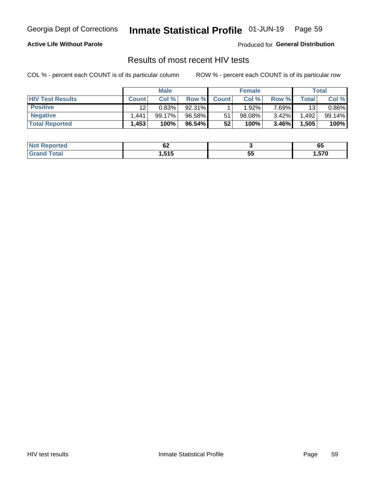#### Inmate Statistical Profile 01-JUN-19 Page 59

### **Active Life Without Parole**

Produced for General Distribution

## Results of most recent HIV tests

COL % - percent each COUNT is of its particular column

|                         | <b>Male</b>  |         |        | <b>Female</b>   |        |        | Total |        |
|-------------------------|--------------|---------|--------|-----------------|--------|--------|-------|--------|
| <b>HIV Test Results</b> | <b>Count</b> | Col %   | Row %I | <b>Count</b>    | Col %  | Row %  | Total | Col %  |
| <b>Positive</b>         | 12           | 0.83%   | 92.31% |                 | 1.92%  | 7 69%∎ | 13    | 0.86%  |
| <b>Negative</b>         | .441         | 99.17%। | 96.58% | 51              | 98.08% | 3.42%  | .492  | 99.14% |
| <b>Total Reported</b>   | .453         | 100%    | 96.54% | 52 <sub>1</sub> | 100%   | 3.46%  | 1,505 | 100%   |

| <b>Not Reported</b> | ◡▵           |    | uu   |
|---------------------|--------------|----|------|
| <b>Total</b>        | 515<br>∕ I ⊎ | JJ | ,570 |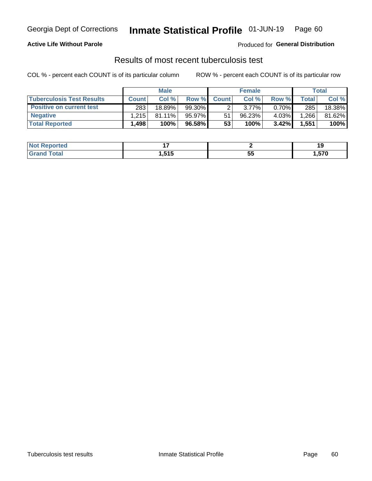# Georgia Dept of Corrections **Inmate Statistical Profile** 01-JUN-19 Page 60

### **Active Life Without Parole**

Produced for **General Distribution**

# Results of most recent tuberculosis test

COL % - percent each COUNT is of its particular column ROW % - percent each COUNT is of its particular row

|                                  | <b>Male</b>  |           |           | <b>Female</b> |          |          | Total |        |
|----------------------------------|--------------|-----------|-----------|---------------|----------|----------|-------|--------|
| <b>Tuberculosis Test Results</b> | <b>Count</b> | Col %     | Row %I    | <b>Count</b>  | Col %    | Row %    | Total | Col %  |
| <b>Positive on current test</b>  | 283          | 18.89%    | $99.30\%$ |               | $3.77\%$ | $0.70\%$ | 285   | 18.38% |
| <b>Negative</b>                  | 1.215        | $81.11\%$ | 95.97%    | 51            | 96.23%   | 4.03%    | .266  | 81.62% |
| <b>Total Reported</b>            | .498         | 100%      | 96.58% I  | 53            | 100%     | 3.42%    | 1,551 | 100%   |

| <b>Not Reported</b>           | . .                  |          | 10.   |
|-------------------------------|----------------------|----------|-------|
| <b>Total</b><br>$C$ ro $\sim$ | 515<br>1.J I J<br>__ | --<br>JJ | 1,570 |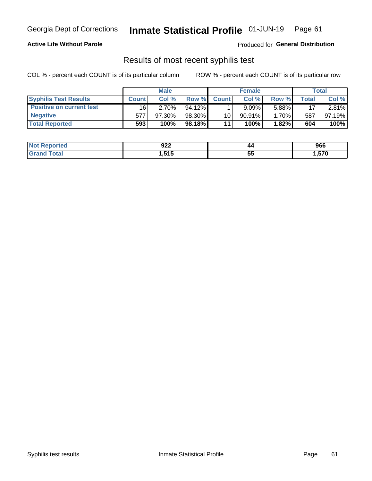# Georgia Dept of Corrections **Inmate Statistical Profile** 01-JUN-19 Page 61

### **Active Life Without Parole**

Produced for **General Distribution**

### Results of most recent syphilis test

COL % - percent each COUNT is of its particular column ROW % - percent each COUNT is of its particular row

|                                 | <b>Male</b>  |           |           | <b>Female</b> |           |        | Total |        |
|---------------------------------|--------------|-----------|-----------|---------------|-----------|--------|-------|--------|
| <b>Syphilis Test Results</b>    | <b>Count</b> | Col%      | Row %     | <b>Count</b>  | Col %     | Row %I | Total | Col %  |
| <b>Positive on current test</b> | 16           | 2.70%     | $94.12\%$ |               | 9.09%     | 5.88%  | 17    | 2.81%  |
| <b>Negative</b>                 | 577          | $97.30\%$ | 98.30%    | 10            | $90.91\%$ | 1.70%  | 587   | 97.19% |
| <b>Total Reported</b>           | 593          | 100%      | 98.18%I   | 11            | 100%      | 1.82%  | 604   | 100%   |

| <b>Not Reported</b> | 922    | 44 | 966      |
|---------------------|--------|----|----------|
| <b>Total</b>        | 515. ا | 44 | ---      |
| ' Grand             |        | JJ | U \ C, I |